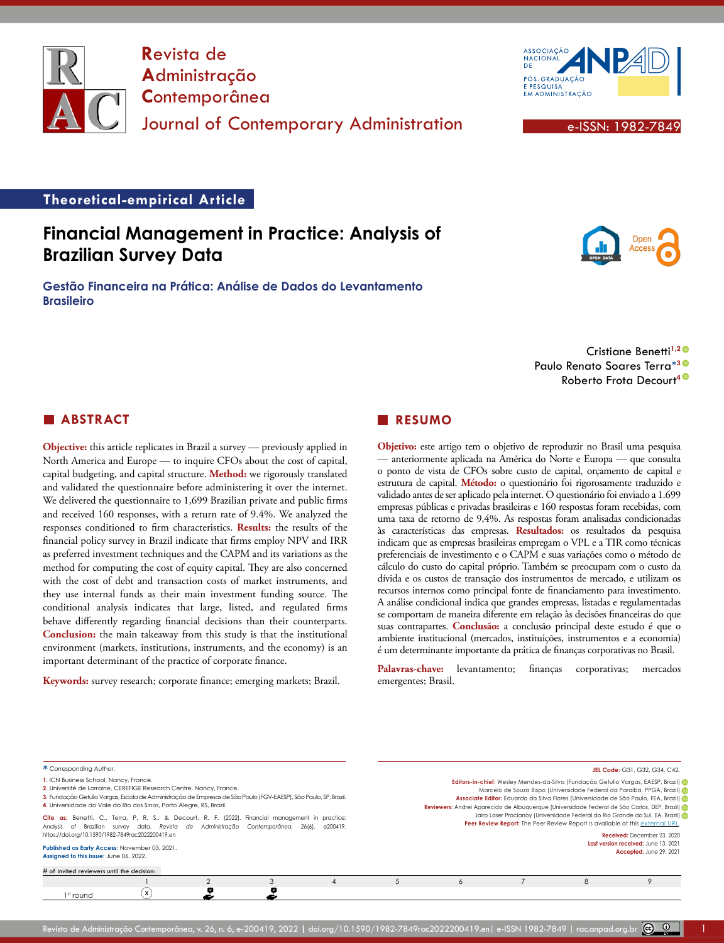

**R**evista de **A**dministração **C**ontemporânea Journal of Contemporary Administration **Executive Contemporary Administration** 



#### **Theoretical-empirical Article**

# **Financial Management in Practice: Analysis of Brazilian Survey Data**

**Gestão Financeira na Prática: Análise de Dados do Levantamento Brasileiro**

> Cristiane Benetti**1,[2](https://orcid.org/0000-0002-8650-3770)** Paulo Renato Soares Terra**\*[3](https://orcid.org/0000-0003-1486-120X)** Roberto Frota Decourt**[4](https://orcid.org/0000-0002-9419-498X)**

# **ABSTRACT**

**Objective:** this article replicates in Brazil a survey — previously applied in North America and Europe — to inquire CFOs about the cost of capital, capital budgeting, and capital structure. **Method:** we rigorously translated and validated the questionnaire before administering it over the internet. We delivered the questionnaire to 1,699 Brazilian private and public firms and received 160 responses, with a return rate of 9.4%. We analyzed the responses conditioned to firm characteristics. **Results:** the results of the financial policy survey in Brazil indicate that firms employ NPV and IRR as preferred investment techniques and the CAPM and its variations as the method for computing the cost of equity capital. They are also concerned with the cost of debt and transaction costs of market instruments, and they use internal funds as their main investment funding source. The conditional analysis indicates that large, listed, and regulated firms behave differently regarding financial decisions than their counterparts. **Conclusion:** the main takeaway from this study is that the institutional environment (markets, institutions, instruments, and the economy) is an important determinant of the practice of corporate finance.

**Keywords:** survey research; corporate finance; emerging markets; Brazil.

#### **RESUMO**

**Objetivo:** este artigo tem o objetivo de reproduzir no Brasil uma pesquisa — anteriormente aplicada na América do Norte e Europa — que consulta o ponto de vista de CFOs sobre custo de capital, orçamento de capital e estrutura de capital. **Método:** o questionário foi rigorosamente traduzido e validado antes de ser aplicado pela internet. O questionário foi enviado a 1.699 empresas públicas e privadas brasileiras e 160 respostas foram recebidas, com uma taxa de retorno de 9,4%. As respostas foram analisadas condicionadas às características das empresas. **Resultados:** os resultados da pesquisa indicam que as empresas brasileiras empregam o VPL e a TIR como técnicas preferenciais de investimento e o CAPM e suas variações como o método de cálculo do custo do capital próprio. Também se preocupam com o custo da dívida e os custos de transação dos instrumentos de mercado, e utilizam os recursos internos como principal fonte de financiamento para investimento. A análise condicional indica que grandes empresas, listadas e regulamentadas se comportam de maneira diferente em relação às decisões financeiras do que suas contrapartes. **Conclusão:** a conclusão principal deste estudo é que o ambiente institucional (mercados, instituições, instrumentos e a economia) é um determinante importante da prática de finanças corporativas no Brasil.

Palavras-chave: levantamento; finanças corporativas; mercados emergentes; Brasil.

| * Corresponding Author.                                                                                                                                                                                                                                                                                  |   |   |          |   |                                                                               | <b>JEL Code: G31, G32, G34, C42.</b>                                                                                                                                                                                                                                                                                                                   |
|----------------------------------------------------------------------------------------------------------------------------------------------------------------------------------------------------------------------------------------------------------------------------------------------------------|---|---|----------|---|-------------------------------------------------------------------------------|--------------------------------------------------------------------------------------------------------------------------------------------------------------------------------------------------------------------------------------------------------------------------------------------------------------------------------------------------------|
| 1. ICN Business School, Nancy, France.<br>2. Université de Lorraine, CEREFIGE Research Centre, Nancy, France.<br>3. Fundação Getulio Vargas, Escola de Administração de Empresas de São Paulo (FGV-EAESP), São Paulo, SP, Brazil.<br>4. Universidade do Vale do Rio dos Sinos, Porto Alegre, RS, Brazil. |   |   |          |   |                                                                               | Editors-in-chief: Wesley Mendes-da-Silva (Fundação Getulio Vargas, EAESP, Brazil)<br>Marcelo de Souza Bispo (Universidade Federal da Paraíba, PPGA, Brazil)<br>Associate Editor: Eduardo da Silva Flores (Universidade de São Paulo, FEA, Brazil) @<br>Reviewers: Andrei Aparecido de Albuquerque (Universidade Federal de São Carlos, DEP, Brazil) de |
| Cite as: Benetti, C., Terra, P. R. S., & Decourt, R. F. (2022). Financial management in practice:<br>Analysis of Brazilian survey data. Revista de Administração Contemporânea, 26(6),<br>https://doi.org/10.1590/1982-7849rac2022200419.en                                                              |   |   | e200419. |   | Peer Review Report: The Peer Review Report is available at this external URL. | Jairo Laser Procianoy (Universidade Federal do Rio Grande do Sul, EA, Brazil)<br>Received: December 23, 2020                                                                                                                                                                                                                                           |
| Published as Early Access: November 03, 2021.<br>Assigned to this issue: June 06, 2022.                                                                                                                                                                                                                  |   |   |          |   |                                                                               | Last version received: June 13, 2021<br>Accepted: June 29, 2021                                                                                                                                                                                                                                                                                        |
| # of invited reviewers until the decision:                                                                                                                                                                                                                                                               |   |   |          |   |                                                                               |                                                                                                                                                                                                                                                                                                                                                        |
|                                                                                                                                                                                                                                                                                                          |   |   |          | 6 | 8                                                                             |                                                                                                                                                                                                                                                                                                                                                        |
| 1 <sup>st</sup> round                                                                                                                                                                                                                                                                                    | x | × |          |   |                                                                               |                                                                                                                                                                                                                                                                                                                                                        |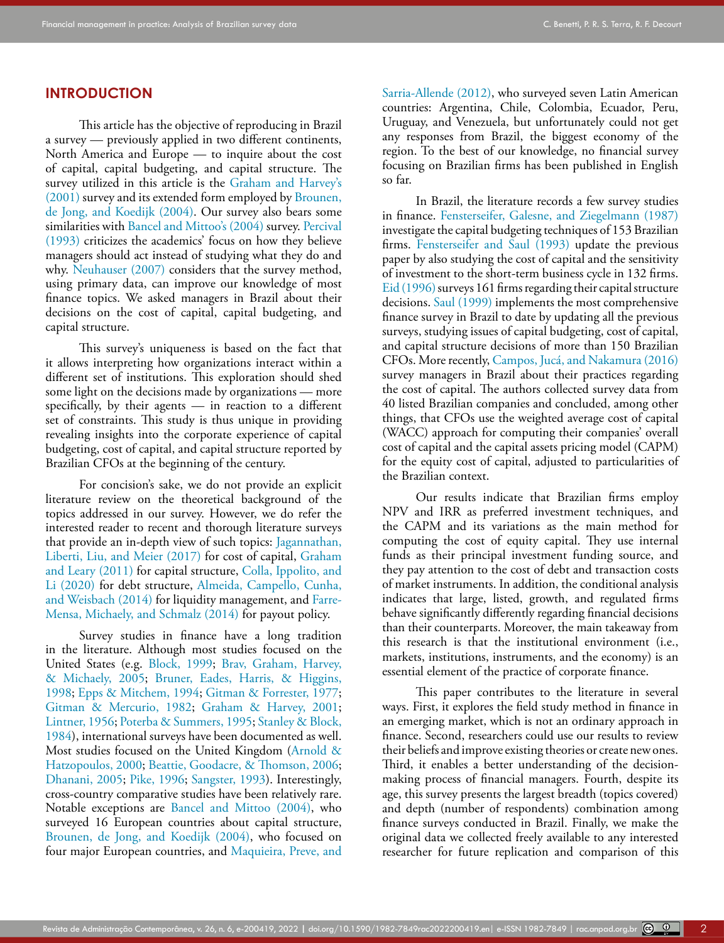#### **INTRODUCTION**

This article has the objective of reproducing in Brazil a survey — previously applied in two different continents, North America and Europe — to inquire about the cost of capital, capital budgeting, and capital structure. The survey utilized in this article is the Graham and Harvey's (2001) survey and its extended form employed by [Brounen,](#page-15-0)  [de Jong, and Koedijk \(2004\).](#page-15-0) Our survey also bears some similarities with Bancel and Mittoo's (2004) survey. [Percival](#page-16-0)  [\(1993\)](#page-16-0) criticizes the academics' focus on how they believe managers should act instead of studying what they do and why. [Neuhauser \(2007\)](#page-16-1) considers that the survey method, using primary data, can improve our knowledge of most finance topics. We asked managers in Brazil about their decisions on the cost of capital, capital budgeting, and capital structure.

This survey's uniqueness is based on the fact that it allows interpreting how organizations interact within a different set of institutions. This exploration should shed some light on the decisions made by organizations — more specifically, by their agents — in reaction to a different set of constraints. This study is thus unique in providing revealing insights into the corporate experience of capital budgeting, cost of capital, and capital structure reported by Brazilian CFOs at the beginning of the century.

For concision's sake, we do not provide an explicit literature review on the theoretical background of the topics addressed in our survey. However, we do refer the interested reader to recent and thorough literature surveys that provide an in-depth view of such topics: [Jagannathan,](#page-16-2)  [Liberti, Liu, and Meier \(2017\)](#page-16-2) for cost of capital, [Graham](#page-16-3)  [and Leary \(2011\)](#page-16-3) for capital structure, [Colla, Ippolito, and](#page-15-1)  [Li \(2020\)](#page-15-1) for debt structure, [Almeida, Campello, Cunha,](#page-15-2)  [and Weisbach \(2014\)](#page-15-2) for liquidity management, and [Farre-](#page-15-3)[Mensa, Michaely, and Schmalz \(2014\)](#page-15-3) for payout policy.

Survey studies in finance have a long tradition in the literature. Although most studies focused on the United States (e.g. [Block, 1999;](#page-15-4) [Brav, Graham, Harvey,](#page-15-5)  [& Michaely, 2005;](#page-15-5) [Bruner, Eades, Harris, & Higgins,](#page-15-6)  [1998](#page-15-6); [Epps & Mitchem, 1994;](#page-15-7) [Gitman & Forrester, 1977;](#page-16-4) [Gitman & Mercurio, 1982](#page-16-5); [Graham & Harvey, 2001;](#page-16-6) [Lintner, 1956](#page-16-7); [Poterba & Summers, 1995](#page-16-8); [Stanley & Block,](#page-16-9)  [1984](#page-16-9)), international surveys have been documented as well. Most studies focused on the United Kingdom [\(Arnold &](#page-15-8)  [Hatzopoulos, 2000;](#page-15-8) [Beattie, Goodacre, & Thomson, 2006;](#page-15-9) [Dhanani, 2005](#page-15-10); [Pike, 1996](#page-16-10); [Sangster, 1993\)](#page-16-11). Interestingly, cross-country comparative studies have been relatively rare. Notable exceptions are [Bancel and Mittoo \(2004\),](#page-15-11) who surveyed 16 European countries about capital structure, [Brounen, de Jong, and Koedijk \(2004\)](#page-15-0), who focused on four major European countries, and [Maquieira, Preve, and](#page-16-12) 

[Sarria-Allende \(2012\),](#page-16-12) who surveyed seven Latin American countries: Argentina, Chile, Colombia, Ecuador, Peru, Uruguay, and Venezuela, but unfortunately could not get any responses from Brazil, the biggest economy of the region. To the best of our knowledge, no financial survey focusing on Brazilian firms has been published in English so far.

In Brazil, the literature records a few survey studies in finance. [Fensterseifer, Galesne, and Ziegelmann \(1987\)](#page-15-12) investigate the capital budgeting techniques of 153 Brazilian firms. [Fensterseifer and Saul \(1993\)](#page-15-13) update the previous paper by also studying the cost of capital and the sensitivity of investment to the short-term business cycle in 132 firms. [Eid \(1996\)](#page-15-14) surveys 161 firms regarding their capital structure decisions. [Saul \(1999\)](#page-16-13) implements the most comprehensive finance survey in Brazil to date by updating all the previous surveys, studying issues of capital budgeting, cost of capital, and capital structure decisions of more than 150 Brazilian CFOs. More recently, Campos, Jucá, and Nakamura (2016) survey managers in Brazil about their practices regarding the cost of capital. The authors collected survey data from 40 listed Brazilian companies and concluded, among other things, that CFOs use the weighted average cost of capital (WACC) approach for computing their companies' overall cost of capital and the capital assets pricing model (CAPM) for the equity cost of capital, adjusted to particularities of the Brazilian context.

Our results indicate that Brazilian firms employ NPV and IRR as preferred investment techniques, and the CAPM and its variations as the main method for computing the cost of equity capital. They use internal funds as their principal investment funding source, and they pay attention to the cost of debt and transaction costs of market instruments. In addition, the conditional analysis indicates that large, listed, growth, and regulated firms behave significantly differently regarding financial decisions than their counterparts. Moreover, the main takeaway from this research is that the institutional environment (i.e., markets, institutions, instruments, and the economy) is an essential element of the practice of corporate finance.

This paper contributes to the literature in several ways. First, it explores the field study method in finance in an emerging market, which is not an ordinary approach in finance. Second, researchers could use our results to review their beliefs and improve existing theories or create new ones. Third, it enables a better understanding of the decisionmaking process of financial managers. Fourth, despite its age, this survey presents the largest breadth (topics covered) and depth (number of respondents) combination among finance surveys conducted in Brazil. Finally, we make the original data we collected freely available to any interested researcher for future replication and comparison of this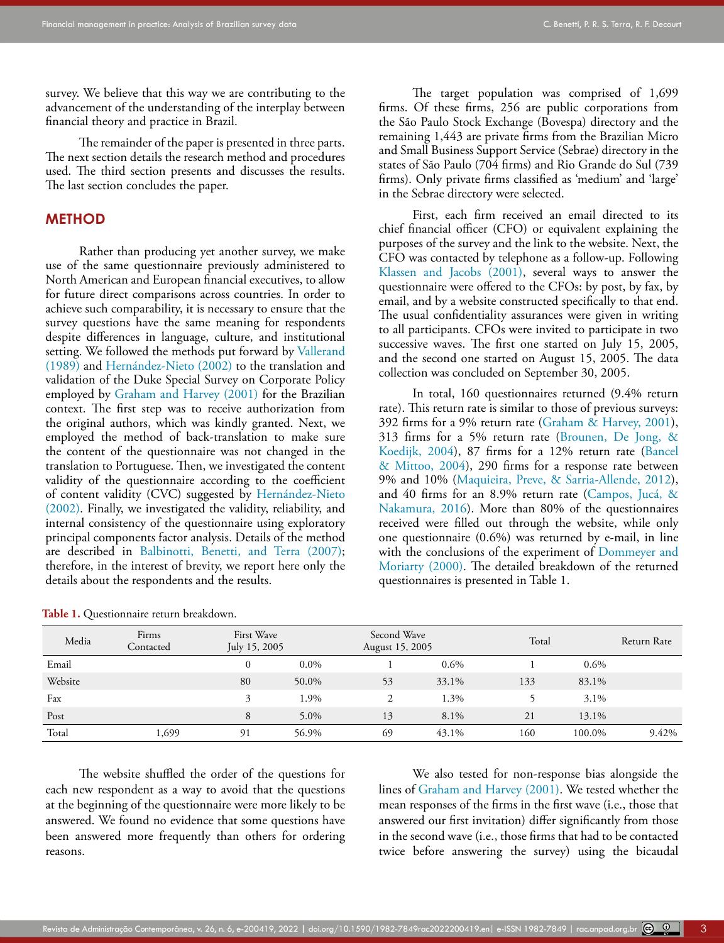survey. We believe that this way we are contributing to the advancement of the understanding of the interplay between financial theory and practice in Brazil.

The remainder of the paper is presented in three parts. The next section details the research method and procedures used. The third section presents and discusses the results. The last section concludes the paper.

#### **METHOD**

Rather than producing yet another survey, we make use of the same questionnaire previously administered to North American and European financial executives, to allow for future direct comparisons across countries. In order to achieve such comparability, it is necessary to ensure that the survey questions have the same meaning for respondents despite differences in language, culture, and institutional setting. We followed the methods put forward by [Vallerand](#page-16-14)  [\(1989\)](#page-16-14) and Hernández-Nieto (2002) to the translation and validation of the Duke Special Survey on Corporate Policy employed by [Graham and Harvey \(2001\)](#page-16-6) for the Brazilian context. The first step was to receive authorization from the original authors, which was kindly granted. Next, we employed the method of back-translation to make sure the content of the questionnaire was not changed in the translation to Portuguese. Then, we investigated the content validity of the questionnaire according to the coefficient of content validity (CVC) suggested by Hernández-Nieto (2002). Finally, we investigated the validity, reliability, and internal consistency of the questionnaire using exploratory principal components factor analysis. Details of the method are described in [Balbinotti, Benetti, and Terra \(2007\);](#page-15-15) therefore, in the interest of brevity, we report here only the details about the respondents and the results.

The target population was comprised of 1,699 firms. Of these firms, 256 are public corporations from the São Paulo Stock Exchange (Bovespa) directory and the remaining 1,443 are private firms from the Brazilian Micro and Small Business Support Service (Sebrae) directory in the states of São Paulo (704 firms) and Rio Grande do Sul (739 firms). Only private firms classified as 'medium' and 'large' in the Sebrae directory were selected.

First, each firm received an email directed to its chief financial officer (CFO) or equivalent explaining the purposes of the survey and the link to the website. Next, the CFO was contacted by telephone as a follow-up. Following [Klassen and Jacobs \(2001\),](#page-16-15) several ways to answer the questionnaire were offered to the CFOs: by post, by fax, by email, and by a website constructed specifically to that end. The usual confidentiality assurances were given in writing to all participants. CFOs were invited to participate in two successive waves. The first one started on July 15, 2005, and the second one started on August 15, 2005. The data collection was concluded on September 30, 2005.

In total, 160 questionnaires returned (9.4% return rate). This return rate is similar to those of previous surveys: 392 firms for a 9% return rate ([Graham & Harvey, 2001\)](#page-16-6), 313 firms for a 5% return rate [\(Brounen, De Jong, &](#page-15-0) [Koedijk, 2004](#page-15-0)), 87 firms for a 12% return rate ([Bancel](#page-15-11) [& Mittoo, 2004\)](#page-15-11), 290 firms for a response rate between 9% and 10% [\(Maquieira, Preve, & Sarria-Allende, 2012\)](#page-16-12), and 40 firms for an 8.9% return rate (Campos, Jucá, & Nakamura, 2016). More than 80% of the questionnaires received were filled out through the website, while only one questionnaire (0.6%) was returned by e-mail, in line with the conclusions of the experiment of [Dommeyer and](#page-15-16) [Moriarty \(2000\).](#page-15-16) The detailed breakdown of the returned questionnaires is presented in Table 1.

| Media   | Firms<br>Contacted | First Wave<br>July 15, 2005 |         | Second Wave<br>August 15, 2005 |         | Total |         | Return Rate |
|---------|--------------------|-----------------------------|---------|--------------------------------|---------|-------|---------|-------------|
| Email   |                    |                             | $0.0\%$ |                                | $0.6\%$ |       | $0.6\%$ |             |
| Website |                    | 80                          | 50.0%   | 53                             | 33.1%   | 133   | 83.1%   |             |
| Fax     |                    | 3                           | 1.9%    | $\mathcal{L}$                  | 1.3%    |       | 3.1%    |             |
| Post    |                    | 8                           | $5.0\%$ | 13                             | 8.1%    | 21    | 13.1%   |             |
| Total   | 1,699              | 91                          | 56.9%   | 69                             | 43.1%   | 160   | 100.0%  | 9.42%       |

**Table 1.** Questionnaire return breakdown.

The website shuffled the order of the questions for each new respondent as a way to avoid that the questions at the beginning of the questionnaire were more likely to be answered. We found no evidence that some questions have been answered more frequently than others for ordering reasons.

We also tested for non-response bias alongside the lines of [Graham and Harvey \(2001\)](#page-16-6). We tested whether the mean responses of the firms in the first wave (i.e., those that answered our first invitation) differ significantly from those in the second wave (i.e., those firms that had to be contacted twice before answering the survey) using the bicaudal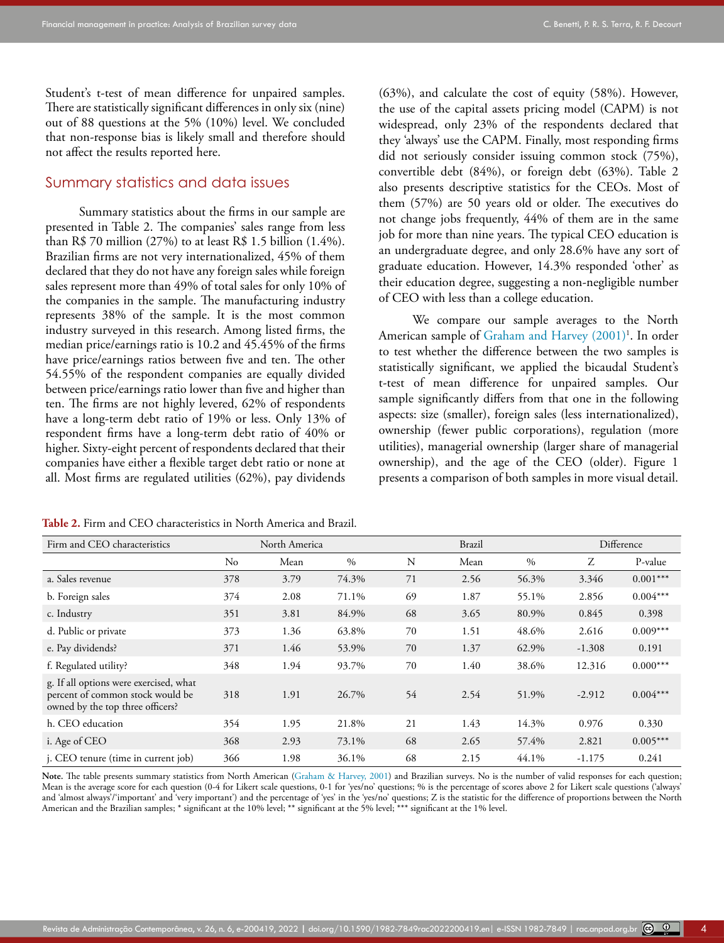Student's t-test of mean difference for unpaired samples. There are statistically significant differences in only six (nine) out of 88 questions at the 5% (10%) level. We concluded that non-response bias is likely small and therefore should not affect the results reported here.

#### Summary statistics and data issues

Summary statistics about the firms in our sample are presented in Table 2. The companies' sales range from less than R\$ 70 million  $(27%)$  to at least R\$ 1.5 billion  $(1.4%)$ . Brazilian firms are not very internationalized, 45% of them declared that they do not have any foreign sales while foreign sales represent more than 49% of total sales for only 10% of the companies in the sample. The manufacturing industry represents 38% of the sample. It is the most common industry surveyed in this research. Among listed firms, the median price/earnings ratio is 10.2 and 45.45% of the firms have price/earnings ratios between five and ten. The other 54.55% of the respondent companies are equally divided between price/earnings ratio lower than five and higher than ten. The firms are not highly levered, 62% of respondents have a long-term debt ratio of 19% or less. Only 13% of respondent firms have a long-term debt ratio of 40% or higher. Sixty-eight percent of respondents declared that their companies have either a flexible target debt ratio or none at all. Most firms are regulated utilities (62%), pay dividends

**Table 2.** Firm and CEO characteristics in North America and Brazil.

(63%), and calculate the cost of equity (58%). However, the use of the capital assets pricing model (CAPM) is not widespread, only 23% of the respondents declared that they 'always' use the CAPM. Finally, most responding firms did not seriously consider issuing common stock (75%), convertible debt (84%), or foreign debt (63%). Table 2 also presents descriptive statistics for the CEOs. Most of them (57%) are 50 years old or older. The executives do not change jobs frequently, 44% of them are in the same job for more than nine years. The typical CEO education is an undergraduate degree, and only 28.6% have any sort of graduate education. However, 14.3% responded 'other' as their education degree, suggesting a non-negligible number of CEO with less than a college education.

We compare our sample averages to the North American sample of [Graham and Harvey \(2001\)](#page-16-6)<sup>1</sup>. In order to test whether the difference between the two samples is statistically significant, we applied the bicaudal Student's t-test of mean difference for unpaired samples. Our sample significantly differs from that one in the following aspects: size (smaller), foreign sales (less internationalized), ownership (fewer public corporations), regulation (more utilities), managerial ownership (larger share of managerial ownership), and the age of the CEO (older). Figure 1 presents a comparison of both samples in more visual detail.

| Firm and CEO characteristics                                                                                   |          | North America |       |    | <b>Brazil</b> |       |          | Difference |
|----------------------------------------------------------------------------------------------------------------|----------|---------------|-------|----|---------------|-------|----------|------------|
|                                                                                                                | $\rm No$ | Mean          | $\%$  | N  | Mean          | $\%$  | Ζ        | P-value    |
| a. Sales revenue                                                                                               | 378      | 3.79          | 74.3% | 71 | 2.56          | 56.3% | 3.346    | $0.001***$ |
| b. Foreign sales                                                                                               | 374      | 2.08          | 71.1% | 69 | 1.87          | 55.1% | 2.856    | $0.004***$ |
| c. Industry                                                                                                    | 351      | 3.81          | 84.9% | 68 | 3.65          | 80.9% | 0.845    | 0.398      |
| d. Public or private                                                                                           | 373      | 1.36          | 63.8% | 70 | 1.51          | 48.6% | 2.616    | $0.009***$ |
| e. Pay dividends?                                                                                              | 371      | 1.46          | 53.9% | 70 | 1.37          | 62.9% | $-1.308$ | 0.191      |
| f. Regulated utility?                                                                                          | 348      | 1.94          | 93.7% | 70 | 1.40          | 38.6% | 12.316   | $0.000***$ |
| g. If all options were exercised, what<br>percent of common stock would be<br>owned by the top three officers? | 318      | 1.91          | 26.7% | 54 | 2.54          | 51.9% | $-2.912$ | $0.004***$ |
| h. CEO education                                                                                               | 354      | 1.95          | 21.8% | 21 | 1.43          | 14.3% | 0.976    | 0.330      |
| i. Age of CEO                                                                                                  | 368      | 2.93          | 73.1% | 68 | 2.65          | 57.4% | 2.821    | $0.005***$ |
| j. CEO tenure (time in current job)                                                                            | 366      | 1.98          | 36.1% | 68 | 2.15          | 44.1% | $-1.175$ | 0.241      |

Note. The table presents summary statistics from North American ([Graham & Harvey, 2001](#page-16-6)) and Brazilian surveys. No is the number of valid responses for each question; Mean is the average score for each question (0-4 for Likert scale questions, 0-1 for 'yes/no' questions; % is the percentage of scores above 2 for Likert scale questions ('always' and 'almost always'/'important' and 'very important') and the percentage of 'yes' in the 'yes/no' questions; Z is the statistic for the difference of proportions between the North American and the Brazilian samples; \* significant at the 10% level; \*\* significant at the 5% level; \*\*\* significant at the 1% level.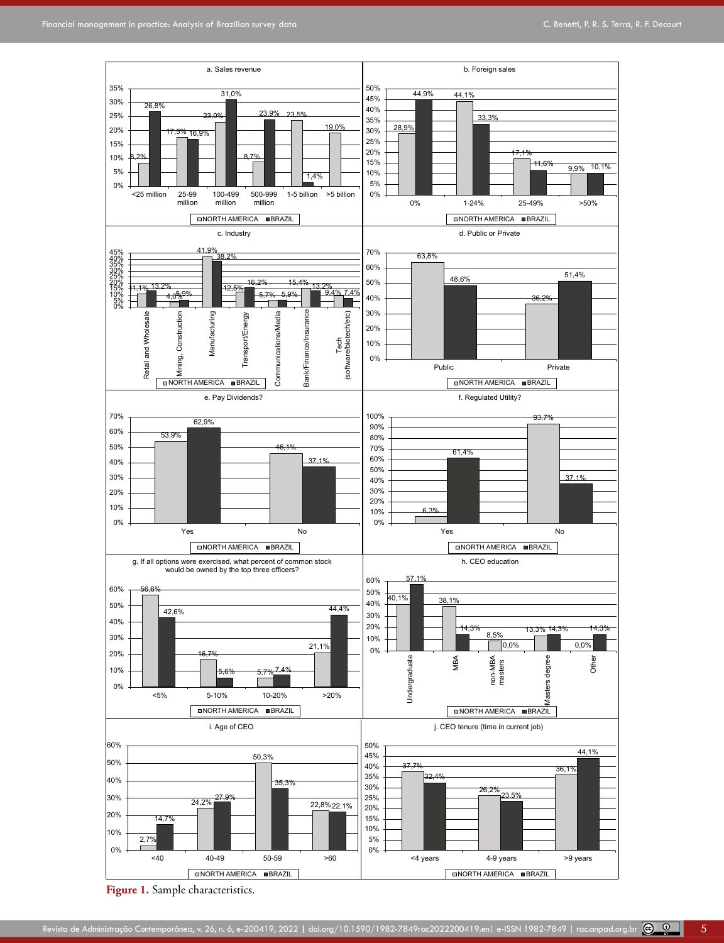

**Figure 1.** Sample characteristics.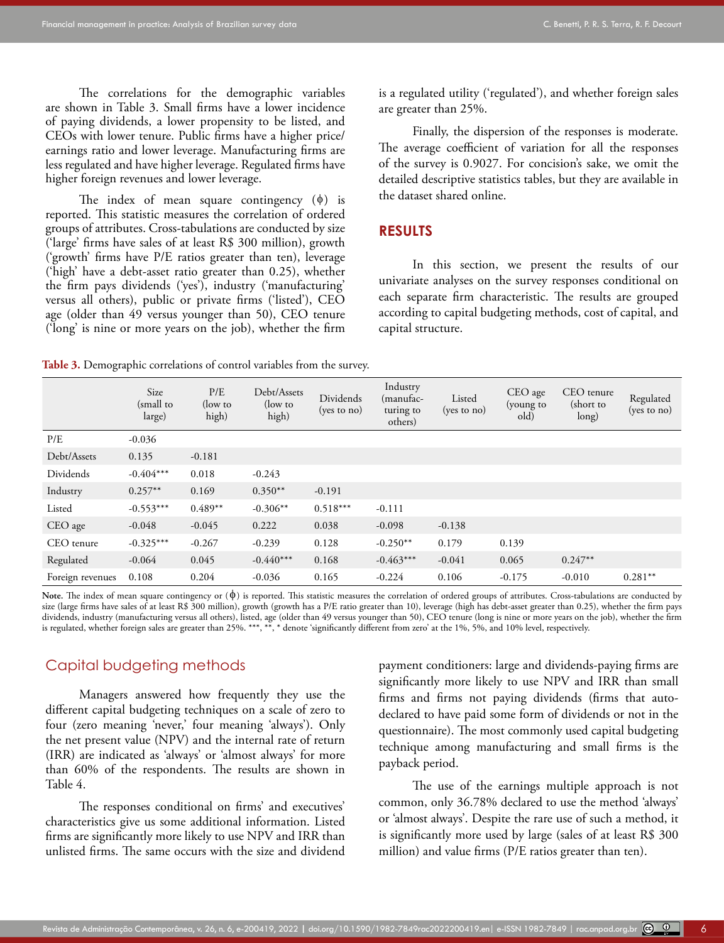The correlations for the demographic variables are shown in Table 3. Small firms have a lower incidence of paying dividends, a lower propensity to be listed, and CEOs with lower tenure. Public firms have a higher price/ earnings ratio and lower leverage. Manufacturing firms are less regulated and have higher leverage. Regulated firms have higher foreign revenues and lower leverage.

The index of mean square contingency  $(\phi)$  is reported. This statistic measures the correlation of ordered groups of attributes. Cross-tabulations are conducted by size ('large' firms have sales of at least R\$ 300 million), growth ('growth' firms have P/E ratios greater than ten), leverage ('high' have a debt-asset ratio greater than 0.25), whether the firm pays dividends ('yes'), industry ('manufacturing' versus all others), public or private firms ('listed'), CEO age (older than 49 versus younger than 50), CEO tenure ('long' is nine or more years on the job), whether the firm is a regulated utility ('regulated'), and whether foreign sales are greater than 25%.

Finally, the dispersion of the responses is moderate. The average coefficient of variation for all the responses of the survey is 0.9027. For concision's sake, we omit the detailed descriptive statistics tables, but they are available in the dataset shared online.

#### **RESULTS**

In this section, we present the results of our univariate analyses on the survey responses conditional on each separate firm characteristic. The results are grouped according to capital budgeting methods, cost of capital, and capital structure.

**Table 3.** Demographic correlations of control variables from the survey.

|                  | Size<br>(small to<br>large) | P/E<br>(low to<br>high) | Debt/Assets<br>(low to<br>high) | Dividends<br>$(yes \text{ to } no)$ | Industry<br>manufac-)<br>turing to<br>others) | Listed<br>$(yes \text{ to } no)$ | CEO age<br>(young to<br>old) | CEO tenure<br>(short to<br>long) | Regulated<br>(yes to no) |
|------------------|-----------------------------|-------------------------|---------------------------------|-------------------------------------|-----------------------------------------------|----------------------------------|------------------------------|----------------------------------|--------------------------|
| P/E              | $-0.036$                    |                         |                                 |                                     |                                               |                                  |                              |                                  |                          |
| Debt/Assets      | 0.135                       | $-0.181$                |                                 |                                     |                                               |                                  |                              |                                  |                          |
| Dividends        | $-0.404***$                 | 0.018                   | $-0.243$                        |                                     |                                               |                                  |                              |                                  |                          |
| Industry         | $0.257**$                   | 0.169                   | $0.350**$                       | $-0.191$                            |                                               |                                  |                              |                                  |                          |
| Listed           | $-0.553***$                 | $0.489**$               | $-0.306**$                      | $0.518***$                          | $-0.111$                                      |                                  |                              |                                  |                          |
| CEO age          | $-0.048$                    | $-0.045$                | 0.222                           | 0.038                               | $-0.098$                                      | $-0.138$                         |                              |                                  |                          |
| CEO tenure       | $-0.325***$                 | $-0.267$                | $-0.239$                        | 0.128                               | $-0.250**$                                    | 0.179                            | 0.139                        |                                  |                          |
| Regulated        | $-0.064$                    | 0.045                   | $-0.440***$                     | 0.168                               | $-0.463***$                                   | $-0.041$                         | 0.065                        | $0.247**$                        |                          |
| Foreign revenues | 0.108                       | 0.204                   | $-0.036$                        | 0.165                               | $-0.224$                                      | 0.106                            | $-0.175$                     | $-0.010$                         | $0.281**$                |

Note. The index of mean square contingency or (φ) is reported. This statistic measures the correlation of ordered groups of attributes. Cross-tabulations are conducted by size (large firms have sales of at least R\$ 300 million), growth (growth has a P/E ratio greater than 10), leverage (high has debt-asset greater than 0.25), whether the firm pays dividends, industry (manufacturing versus all others), listed, age (older than 49 versus younger than 50), CEO tenure (long is nine or more years on the job), whether the firm is regulated, whether foreign sales are greater than 25%. \*\*\*, \*\*, \* denote 'significantly different from zero' at the 1%, 5%, and 10% level, respectively.

#### Capital budgeting methods

Managers answered how frequently they use the different capital budgeting techniques on a scale of zero to four (zero meaning 'never,' four meaning 'always'). Only the net present value (NPV) and the internal rate of return (IRR) are indicated as 'always' or 'almost always' for more than 60% of the respondents. The results are shown in Table 4.

The responses conditional on firms' and executives' characteristics give us some additional information. Listed firms are significantly more likely to use NPV and IRR than unlisted firms. The same occurs with the size and dividend payment conditioners: large and dividends-paying firms are significantly more likely to use NPV and IRR than small firms and firms not paying dividends (firms that autodeclared to have paid some form of dividends or not in the questionnaire). The most commonly used capital budgeting technique among manufacturing and small firms is the payback period.

The use of the earnings multiple approach is not common, only 36.78% declared to use the method 'always' or 'almost always'. Despite the rare use of such a method, it is significantly more used by large (sales of at least R\$ 300 million) and value firms (P/E ratios greater than ten).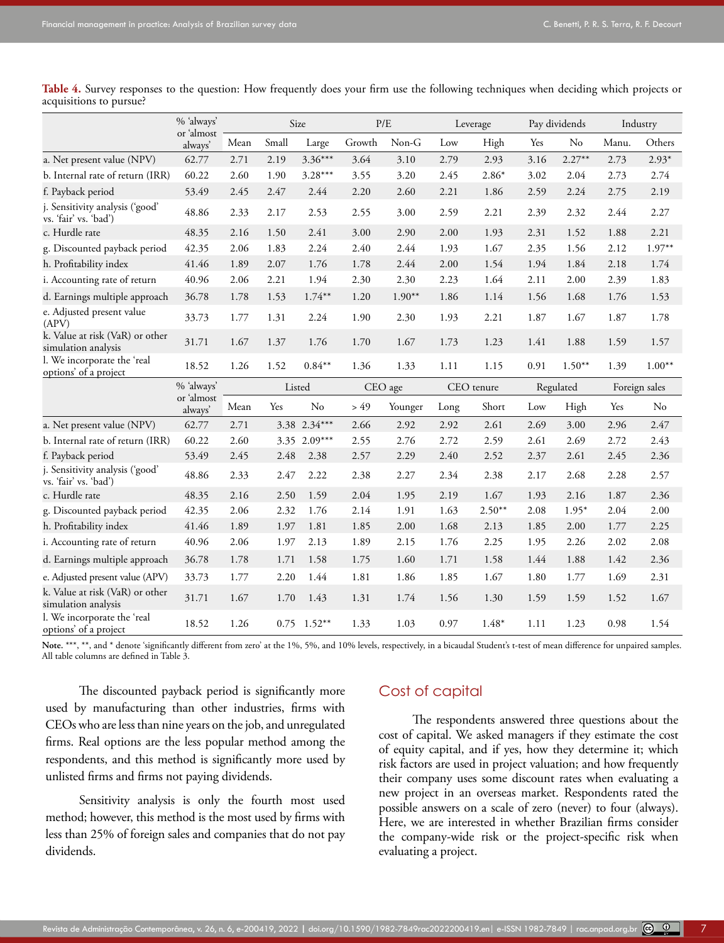% 'always'

|                                                          | % always<br>or 'almost |      |       | Size         | P/E    |          |      | Leverage   |      | Pay dividends |       | Industry      |
|----------------------------------------------------------|------------------------|------|-------|--------------|--------|----------|------|------------|------|---------------|-------|---------------|
|                                                          | always'                | Mean | Small | Large        | Growth | $Non-G$  | Low  | High       | Yes  | No            | Manu. | Others        |
| a. Net present value (NPV)                               | 62.77                  | 2.71 | 2.19  | $3.36***$    | 3.64   | 3.10     | 2.79 | 2.93       | 3.16 | $2.27***$     | 2.73  | $2.93*$       |
| b. Internal rate of return (IRR)                         | 60.22                  | 2.60 | 1.90  | $3.28***$    | 3.55   | 3.20     | 2.45 | $2.86*$    | 3.02 | 2.04          | 2.73  | 2.74          |
| f. Payback period                                        | 53.49                  | 2.45 | 2.47  | 2.44         | 2.20   | 2.60     | 2.21 | 1.86       | 2.59 | 2.24          | 2.75  | 2.19          |
| j. Sensitivity analysis ('good'<br>vs. 'fair' vs. 'bad') | 48.86                  | 2.33 | 2.17  | 2.53         | 2.55   | 3.00     | 2.59 | 2.21       | 2.39 | 2.32          | 2.44  | 2.27          |
| c. Hurdle rate                                           | 48.35                  | 2.16 | 1.50  | 2.41         | 3.00   | 2.90     | 2.00 | 1.93       | 2.31 | 1.52          | 1.88  | 2.21          |
| g. Discounted payback period                             | 42.35                  | 2.06 | 1.83  | 2.24         | 2.40   | 2.44     | 1.93 | 1.67       | 2.35 | 1.56          | 2.12  | $1.97**$      |
| h. Profitability index                                   | 41.46                  | 1.89 | 2.07  | 1.76         | 1.78   | 2.44     | 2.00 | 1.54       | 1.94 | 1.84          | 2.18  | 1.74          |
| i. Accounting rate of return                             | 40.96                  | 2.06 | 2.21  | 1.94         | 2.30   | 2.30     | 2.23 | 1.64       | 2.11 | 2.00          | 2.39  | 1.83          |
| d. Earnings multiple approach                            | 36.78                  | 1.78 | 1.53  | $1.74**$     | 1.20   | $1.90**$ | 1.86 | 1.14       | 1.56 | 1.68          | 1.76  | 1.53          |
| e. Adjusted present value<br>(APV)                       | 33.73                  | 1.77 | 1.31  | 2.24         | 1.90   | 2.30     | 1.93 | 2.21       | 1.87 | 1.67          | 1.87  | 1.78          |
| k. Value at risk (VaR) or other<br>simulation analysis   | 31.71                  | 1.67 | 1.37  | 1.76         | 1.70   | 1.67     | 1.73 | 1.23       | 1.41 | 1.88          | 1.59  | 1.57          |
| l. We incorporate the 'real<br>options' of a project     | 18.52                  | 1.26 | 1.52  | $0.84**$     | 1.36   | 1.33     | 1.11 | 1.15       | 0.91 | $1.50**$      | 1.39  | $1.00**$      |
|                                                          | % 'always'             |      |       | Listed       |        | CEO age  |      | CEO tenure |      | Regulated     |       | Foreign sales |
|                                                          | or 'almost<br>always'  | Mean | Yes   | No           | > 49   | Younger  | Long | Short      | Low  | High          | Yes   | No            |
| a. Net present value (NPV)                               | 62.77                  | 2.71 |       | 3.38 2.34*** | 2.66   | 2.92     | 2.92 | 2.61       | 2.69 | 3.00          | 2.96  | 2.47          |
| b. Internal rate of return (IRR)                         | 60.22                  | 2.60 | 3.35  | $2.09***$    | 2.55   | 2.76     | 2.72 | 2.59       | 2.61 | 2.69          | 2.72  | 2.43          |
| f. Payback period                                        | 53.49                  | 2.45 | 2.48  | 2.38         | 2.57   | 2.29     | 2.40 | 2.52       | 2.37 | 2.61          | 2.45  | 2.36          |
| j. Sensitivity analysis ('good'<br>vs. 'fair' vs. 'bad') | 48.86                  | 2.33 | 2.47  | 2.22         | 2.38   | 2.27     | 2.34 | 2.38       | 2.17 | 2.68          | 2.28  | 2.57          |
| c. Hurdle rate                                           | 48.35                  | 2.16 | 2.50  | 1.59         | 2.04   | 1.95     | 2.19 | 1.67       | 1.93 | 2.16          | 1.87  | 2.36          |
| g. Discounted payback period                             | 42.35                  | 2.06 | 2.32  | 1.76         | 2.14   | 1.91     | 1.63 | $2.50**$   | 2.08 | $1.95*$       | 2.04  | 2.00          |
| h. Profitability index                                   | 41.46                  | 1.89 | 1.97  | 1.81         | 1.85   | 2.00     | 1.68 | 2.13       | 1.85 | 2.00          | 1.77  | 2.25          |
| i. Accounting rate of return                             | 40.96                  | 2.06 | 1.97  | 2.13         | 1.89   | 2.15     | 1.76 | 2.25       | 1.95 | 2.26          | 2.02  | 2.08          |
| d. Earnings multiple approach                            | 36.78                  | 1.78 | 1.71  | 1.58         | 1.75   | 1.60     | 1.71 | 1.58       | 1.44 | 1.88          | 1.42  | 2.36          |
| e. Adjusted present value (APV)                          | 33.73                  | 1.77 | 2.20  | 1.44         | 1.81   | 1.86     | 1.85 | 1.67       | 1.80 | 1.77          | 1.69  | 2.31          |
| k. Value at risk (VaR) or other                          |                        |      |       |              |        |          |      |            |      |               |       |               |
| simulation analysis                                      | 31.71                  | 1.67 | 1.70  | 1.43         | 1.31   | 1.74     | 1.56 | 1.30       | 1.59 | 1.59          | 1.52  | 1.67          |

Table 4. Survey responses to the question: How frequently does your firm use the following techniques when deciding which projects or acquisitions to pursue?

Note. \*\*\*, \*\*, and \* denote 'significantly different from zero' at the 1%, 5%, and 10% levels, respectively, in a bicaudal Student's t-test of mean difference for unpaired samples. All table columns are defined in Table 3.

The discounted payback period is significantly more used by manufacturing than other industries, firms with CEOs who are less than nine years on the job, and unregulated firms. Real options are the less popular method among the respondents, and this method is significantly more used by unlisted firms and firms not paying dividends.

Sensitivity analysis is only the fourth most used method; however, this method is the most used by firms with less than 25% of foreign sales and companies that do not pay dividends.

# Cost of capital

The respondents answered three questions about the cost of capital. We asked managers if they estimate the cost of equity capital, and if yes, how they determine it; which risk factors are used in project valuation; and how frequently their company uses some discount rates when evaluating a new project in an overseas market. Respondents rated the possible answers on a scale of zero (never) to four (always). Here, we are interested in whether Brazilian firms consider the company-wide risk or the project-specific risk when evaluating a project.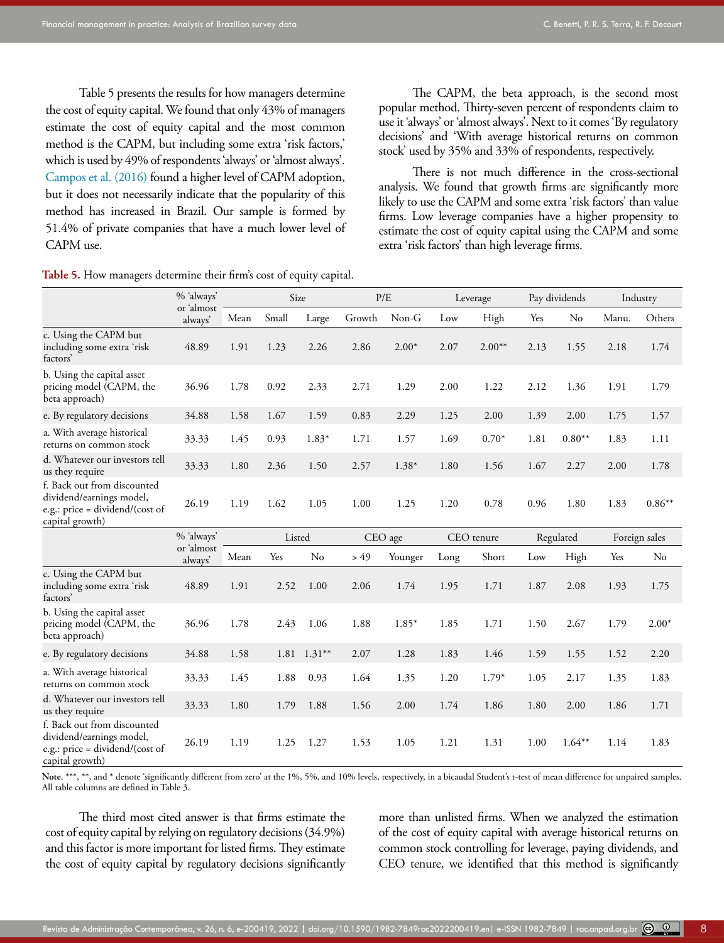Table 5 presents the results for how managers determine the cost of equity capital. We found that only 43% of managers estimate the cost of equity capital and the most common method is the CAPM, but including some extra 'risk factors,' which is used by 49% of respondents 'always' or 'almost always'. [Campos et al. \(2016\)](#page-15-17) found a higher level of CAPM adoption, but it does not necessarily indicate that the popularity of this method has increased in Brazil. Our sample is formed by 51.4% of private companies that have a much lower level of CAPM use.

**Table 5.** How managers determine their firm's cost of equity capital.

| The CAPM, the beta approach, is the second most                     |
|---------------------------------------------------------------------|
| popular method. Thirty-seven percent of respondents claim to        |
| use it 'always' or 'almost always'. Next to it comes 'By regulatory |
| decisions' and 'With average historical returns on common           |
| stock' used by 35% and 33% of respondents, respectively.            |

There is not much difference in the cross-sectional analysis. We found that growth firms are significantly more likely to use the CAPM and some extra 'risk factors' than value firms. Low leverage companies have a higher propensity to estimate the cost of equity capital using the CAPM and some extra 'risk factors' than high leverage firms.

|                                                                                                               | % 'always'            |      | Size   |           |        | P/E     |      | Leverage   |      | Pay dividends |       | Industry      |
|---------------------------------------------------------------------------------------------------------------|-----------------------|------|--------|-----------|--------|---------|------|------------|------|---------------|-------|---------------|
|                                                                                                               | or 'almost<br>always' | Mean | Small  | Large     | Growth | $Non-G$ | Low  | High       | Yes  | No            | Manu. | Others        |
| c. Using the CAPM but<br>including some extra 'risk<br>factors'                                               | 48.89                 | 1.91 | 1.23   | 2.26      | 2.86   | $2.00*$ | 2.07 | $2.00**$   | 2.13 | 1.55          | 2.18  | 1.74          |
| b. Using the capital asset<br>pricing model (CAPM, the<br>beta approach)                                      | 36.96                 | 1.78 | 0.92   | 2.33      | 2.71   | 1.29    | 2.00 | 1.22       | 2.12 | 1.36          | 1.91  | 1.79          |
| e. By regulatory decisions                                                                                    | 34.88                 | 1.58 | 1.67   | 1.59      | 0.83   | 2.29    | 1.25 | 2.00       | 1.39 | 2.00          | 1.75  | 1.57          |
| a. With average historical<br>returns on common stock                                                         | 33.33                 | 1.45 | 0.93   | $1.83*$   | 1.71   | 1.57    | 1.69 | $0.70*$    | 1.81 | $0.80**$      | 1.83  | 1.11          |
| d. Whatever our investors tell<br>us they require                                                             | 33.33                 | 1.80 | 2.36   | 1.50      | 2.57   | $1.38*$ | 1.80 | 1.56       | 1.67 | 2.27          | 2.00  | 1.78          |
| f. Back out from discounted<br>dividend/earnings model,<br>e.g.: price = dividend/(cost of<br>capital growth) | 26.19                 | 1.19 | 1.62   | 1.05      | 1.00   | 1.25    | 1.20 | 0.78       | 0.96 | 1.80          | 1.83  | $0.86**$      |
|                                                                                                               | % 'always'            |      | Listed |           |        | CEO age |      | CEO tenure |      | Regulated     |       | Foreign sales |
|                                                                                                               | or 'almost<br>always' | Mean | Yes    | No        | > 49   | Younger | Long | Short      | Low  | High          | Yes   | No            |
| c. Using the CAPM but<br>including some extra 'risk<br>factors'                                               | 48.89                 | 1.91 | 2.52   | 1.00      | 2.06   | 1.74    | 1.95 | 1.71       | 1.87 | 2.08          | 1.93  | 1.75          |
| b. Using the capital asset<br>pricing model (CAPM, the<br>beta approach)                                      | 36.96                 | 1.78 | 2.43   | 1.06      | 1.88   | 1.85*   | 1.85 | 1.71       | 1.50 | 2.67          | 1.79  | $2.00*$       |
| e. By regulatory decisions                                                                                    | 34.88                 | 1.58 | 1.81   | $1.31***$ | 2.07   | 1.28    | 1.83 | 1.46       | 1.59 | 1.55          | 1.52  | 2.20          |
| a. With average historical<br>returns on common stock                                                         | 33.33                 | 1.45 | 1.88   | 0.93      | 1.64   | 1.35    | 1.20 | $1.79*$    | 1.05 | 2.17          | 1.35  | 1.83          |
| d. Whatever our investors tell<br>us they require                                                             | 33.33                 | 1.80 | 1.79   | 1.88      | 1.56   | 2.00    | 1.74 | 1.86       | 1.80 | 2.00          | 1.86  | 1.71          |
| f. Back out from discounted<br>dividend/earnings model,<br>e.g.: price = dividend/(cost of<br>capital growth) | 26.19                 | 1.19 | 1.25   | 1.27      | 1.53   | 1.05    | 1.21 | 1.31       | 1.00 | $1.64**$      | 1.14  | 1.83          |

Note. \*\*\*, \*\*, and \* denote 'significantly different from zero' at the 1%, 5%, and 10% levels, respectively, in a bicaudal Student's t-test of mean difference for unpaired samples. All table columns are defined in Table 3.

The third most cited answer is that firms estimate the cost of equity capital by relying on regulatory decisions (34.9%) and this factor is more important for listed firms. They estimate the cost of equity capital by regulatory decisions significantly

more than unlisted firms. When we analyzed the estimation of the cost of equity capital with average historical returns on common stock controlling for leverage, paying dividends, and CEO tenure, we identified that this method is significantly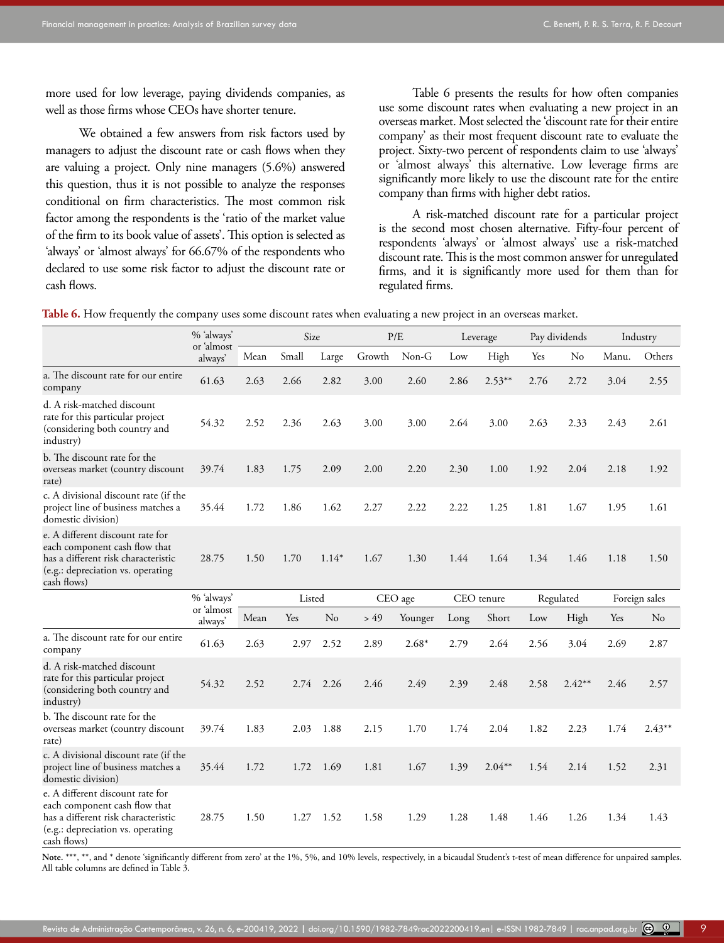more used for low leverage, paying dividends companies, as well as those firms whose CEOs have shorter tenure.

We obtained a few answers from risk factors used by managers to adjust the discount rate or cash flows when they are valuing a project. Only nine managers (5.6%) answered this question, thus it is not possible to analyze the responses conditional on firm characteristics. The most common risk factor among the respondents is the 'ratio of the market value of the firm to its book value of assets'. This option is selected as 'always' or 'almost always' for 66.67% of the respondents who declared to use some risk factor to adjust the discount rate or cash flows.

Table 6 presents the results for how often companies use some discount rates when evaluating a new project in an overseas market. Most selected the 'discount rate for their entire company' as their most frequent discount rate to evaluate the project. Sixty-two percent of respondents claim to use 'always' or 'almost always' this alternative. Low leverage firms are significantly more likely to use the discount rate for the entire company than firms with higher debt ratios.

A risk-matched discount rate for a particular project is the second most chosen alternative. Fifty-four percent of respondents 'always' or 'almost always' use a risk-matched discount rate. This is the most common answer for unregulated firms, and it is significantly more used for them than for regulated firms.

|  |  |  |  |  |  |  |  |  |  |  |  |  | <b>Table 6.</b> How frequently the company uses some discount rates when evaluating a new project in an overseas market |  |  |  |  |
|--|--|--|--|--|--|--|--|--|--|--|--|--|-------------------------------------------------------------------------------------------------------------------------|--|--|--|--|
|  |  |  |  |  |  |  |  |  |  |  |  |  |                                                                                                                         |  |  |  |  |
|  |  |  |  |  |  |  |  |  |  |  |  |  |                                                                                                                         |  |  |  |  |
|  |  |  |  |  |  |  |  |  |  |  |  |  |                                                                                                                         |  |  |  |  |

|                                                                                                                                                              | % 'always'            |      | Size   |           |        | P/E     |      | Leverage   |      | Pay dividends |       | Industry      |
|--------------------------------------------------------------------------------------------------------------------------------------------------------------|-----------------------|------|--------|-----------|--------|---------|------|------------|------|---------------|-------|---------------|
|                                                                                                                                                              | or 'almost<br>always' | Mean | Small  | Large     | Growth | Non-G   | Low  | High       | Yes  | No            | Manu. | Others        |
| a. The discount rate for our entire<br>company                                                                                                               | 61.63                 | 2.63 | 2.66   | 2.82      | 3.00   | 2.60    | 2.86 | $2.53***$  | 2.76 | 2.72          | 3.04  | 2.55          |
| d. A risk-matched discount<br>rate for this particular project<br>(considering both country and<br>industry)                                                 | 54.32                 | 2.52 | 2.36   | 2.63      | 3.00   | 3.00    | 2.64 | 3.00       | 2.63 | 2.33          | 2.43  | 2.61          |
| b. The discount rate for the<br>overseas market (country discount<br>rate)                                                                                   | 39.74                 | 1.83 | 1.75   | 2.09      | 2.00   | 2.20    | 2.30 | 1.00       | 1.92 | 2.04          | 2.18  | 1.92          |
| c. A divisional discount rate (if the<br>project line of business matches a<br>domestic division)                                                            | 35.44                 | 1.72 | 1.86   | 1.62      | 2.27   | 2.22    | 2.22 | 1.25       | 1.81 | 1.67          | 1.95  | 1.61          |
| e. A different discount rate for<br>each component cash flow that<br>has a different risk characteristic<br>(e.g.: depreciation vs. operating<br>cash flows) | 28.75                 | 1.50 | 1.70   | $1.14*$   | 1.67   | 1.30    | 1.44 | 1.64       | 1.34 | 1.46          | 1.18  | 1.50          |
|                                                                                                                                                              | % 'always'            |      | Listed |           |        | CEO age |      | CEO tenure |      | Regulated     |       | Foreign sales |
|                                                                                                                                                              | or 'almost<br>always' | Mean | Yes    | No        | > 49   | Younger | Long | Short      | Low  | High          | Yes   | No            |
| a. The discount rate for our entire<br>company                                                                                                               | 61.63                 | 2.63 | 2.97   | 2.52      | 2.89   | $2.68*$ | 2.79 | 2.64       | 2.56 | 3.04          | 2.69  | 2.87          |
| d. A risk-matched discount<br>rate for this particular project<br>(considering both country and<br>industry)                                                 | 54.32                 | 2.52 |        | 2.74 2.26 | 2.46   | 2.49    | 2.39 | 2.48       | 2.58 | $2.42**$      | 2.46  | 2.57          |
| b. The discount rate for the<br>overseas market (country discount<br>rate)                                                                                   | 39.74                 | 1.83 | 2.03   | 1.88      | 2.15   | 1.70    | 1.74 | 2.04       | 1.82 | 2.23          | 1.74  | $2.43***$     |
| c. A divisional discount rate (if the<br>project line of business matches a<br>domestic division)                                                            | 35.44                 | 1.72 | 1.72   | 1.69      | 1.81   | 1.67    | 1.39 | $2.04***$  | 1.54 | 2.14          | 1.52  | 2.31          |
| e. A different discount rate for<br>each component cash flow that<br>has a different risk characteristic<br>(e.g.: depreciation vs. operating<br>cash flows) | 28.75                 | 1.50 | 1.27   | 1.52      | 1.58   | 1.29    | 1.28 | 1.48       | 1.46 | 1.26          | 1.34  | 1.43          |

Note. \*\*\*, \*\*, and \* denote 'significantly different from zero' at the 1%, 5%, and 10% levels, respectively, in a bicaudal Student's t-test of mean difference for unpaired samples. All table columns are defined in Table 3.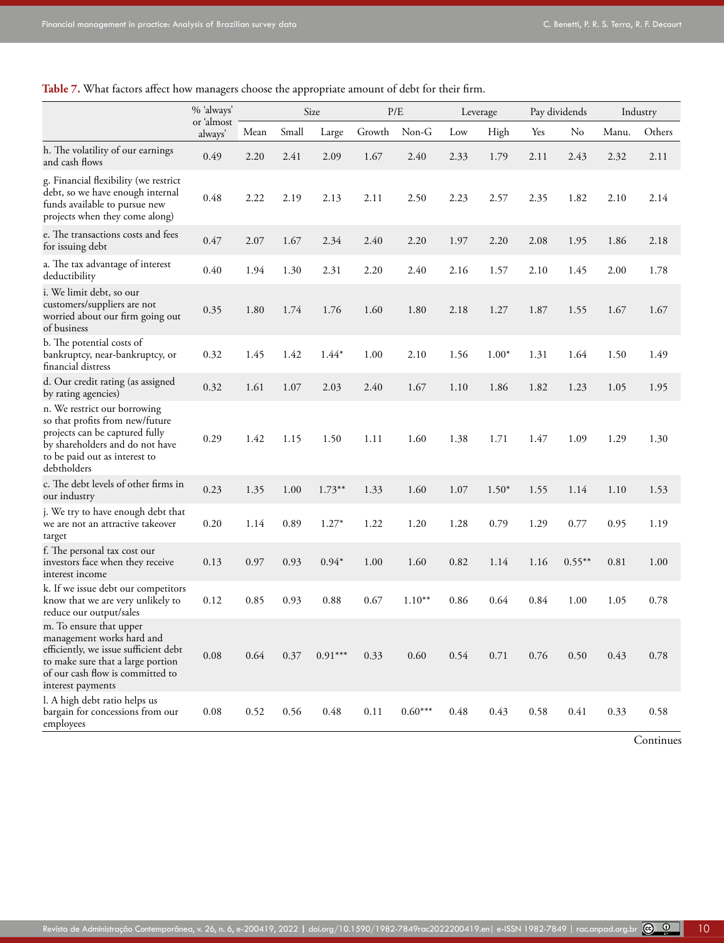**Table 7.** What factors affect how managers choose the appropriate amount of debt for their firm.

|                                                                                                                                                                                             | % 'always'            |      |       | Size      | P/E    |           |      | Leverage |      | Pay dividends |       | Industry |
|---------------------------------------------------------------------------------------------------------------------------------------------------------------------------------------------|-----------------------|------|-------|-----------|--------|-----------|------|----------|------|---------------|-------|----------|
|                                                                                                                                                                                             | or 'almost<br>always' | Mean | Small | Large     | Growth | Non-G     | Low  | High     | Yes  | No            | Manu. | Others   |
| h. The volatility of our earnings<br>and cash flows                                                                                                                                         | 0.49                  | 2.20 | 2.41  | 2.09      | 1.67   | 2.40      | 2.33 | 1.79     | 2.11 | 2.43          | 2.32  | 2.11     |
| g. Financial flexibility (we restrict<br>debt, so we have enough internal<br>funds available to pursue new<br>projects when they come along)                                                | 0.48                  | 2.22 | 2.19  | 2.13      | 2.11   | 2.50      | 2.23 | 2.57     | 2.35 | 1.82          | 2.10  | 2.14     |
| e. The transactions costs and fees<br>for issuing debt                                                                                                                                      | 0.47                  | 2.07 | 1.67  | 2.34      | 2.40   | 2.20      | 1.97 | 2.20     | 2.08 | 1.95          | 1.86  | 2.18     |
| a. The tax advantage of interest<br>deductibility                                                                                                                                           | 0.40                  | 1.94 | 1.30  | 2.31      | 2.20   | 2.40      | 2.16 | 1.57     | 2.10 | 1.45          | 2.00  | 1.78     |
| i. We limit debt, so our<br>customers/suppliers are not<br>worried about our firm going out<br>of business                                                                                  | 0.35                  | 1.80 | 1.74  | 1.76      | 1.60   | 1.80      | 2.18 | 1.27     | 1.87 | 1.55          | 1.67  | 1.67     |
| b. The potential costs of<br>bankruptcy, near-bankruptcy, or<br>financial distress                                                                                                          | 0.32                  | 1.45 | 1.42  | $1.44*$   | 1.00   | 2.10      | 1.56 | $1.00*$  | 1.31 | 1.64          | 1.50  | 1.49     |
| d. Our credit rating (as assigned<br>by rating agencies)                                                                                                                                    | 0.32                  | 1.61 | 1.07  | 2.03      | 2.40   | 1.67      | 1.10 | 1.86     | 1.82 | 1.23          | 1.05  | 1.95     |
| n. We restrict our borrowing<br>so that profits from new/future<br>projects can be captured fully<br>by shareholders and do not have<br>to be paid out as interest to<br>debtholders        | 0.29                  | 1.42 | 1.15  | 1.50      | 1.11   | 1.60      | 1.38 | 1.71     | 1.47 | 1.09          | 1.29  | 1.30     |
| c. The debt levels of other firms in<br>our industry                                                                                                                                        | 0.23                  | 1.35 | 1.00  | $1.73***$ | 1.33   | 1.60      | 1.07 | $1.50*$  | 1.55 | 1.14          | 1.10  | 1.53     |
| j. We try to have enough debt that<br>we are not an attractive takeover<br>target                                                                                                           | 0.20                  | 1.14 | 0.89  | $1.27*$   | 1.22   | 1.20      | 1.28 | 0.79     | 1.29 | 0.77          | 0.95  | 1.19     |
| f. The personal tax cost our<br>investors face when they receive<br>interest income                                                                                                         | 0.13                  | 0.97 | 0.93  | $0.94*$   | 1.00   | 1.60      | 0.82 | 1.14     | 1.16 | $0.55***$     | 0.81  | 1.00     |
| k. If we issue debt our competitors<br>know that we are very unlikely to<br>reduce our output/sales                                                                                         | 0.12                  | 0.85 | 0.93  | 0.88      | 0.67   | $1.10***$ | 0.86 | 0.64     | 0.84 | 1.00          | 1.05  | 0.78     |
| m. To ensure that upper<br>management works hard and<br>efficiently, we issue sufficient debt<br>to make sure that a large portion<br>of our cash flow is committed to<br>interest payments | $0.08\,$              | 0.64 | 0.37  | $0.91***$ | 0.33   | 0.60      | 0.54 | 0.71     | 0.76 | 0.50          | 0.43  | 0.78     |
| l. A high debt ratio helps us<br>bargain for concessions from our<br>employees                                                                                                              | 0.08                  | 0.52 | 0.56  | 0.48      | 0.11   | $0.60***$ | 0.48 | 0.43     | 0.58 | 0.41          | 0.33  | 0.58     |

**Continues**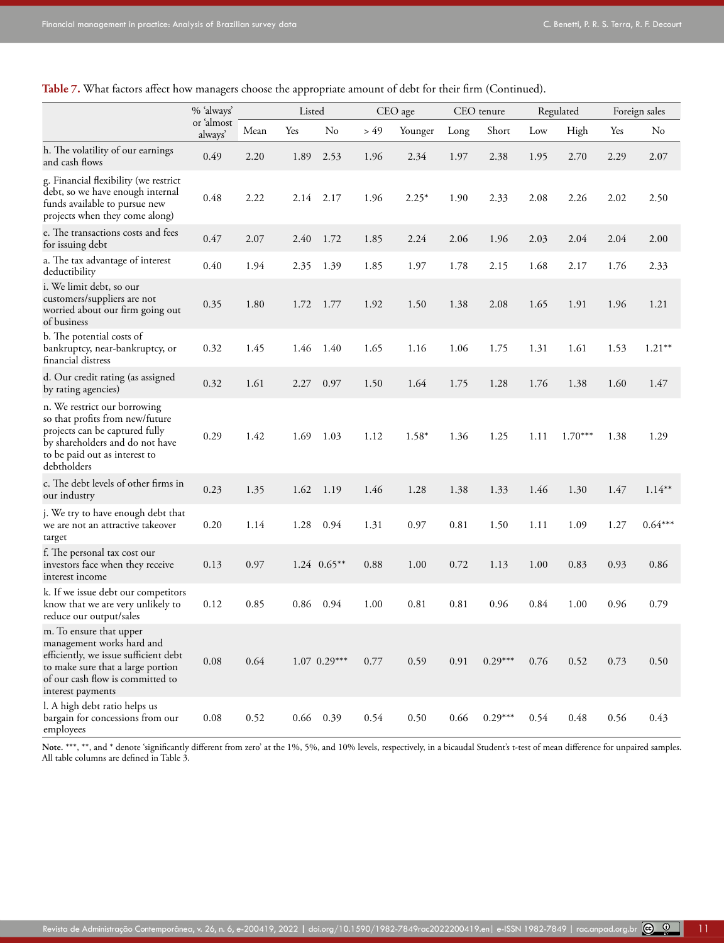**Table 7.** What factors affect how managers choose the appropriate amount of debt for their firm (Continued).

|                                                                                                                                                                                             | % 'always'            |      | Listed |                |      | CEO age |      | CEO tenure |      | Regulated |      | Foreign sales |
|---------------------------------------------------------------------------------------------------------------------------------------------------------------------------------------------|-----------------------|------|--------|----------------|------|---------|------|------------|------|-----------|------|---------------|
|                                                                                                                                                                                             | or 'almost<br>always' | Mean | Yes    | No             | > 49 | Younger | Long | Short      | Low  | High      | Yes  | No            |
| h. The volatility of our earnings<br>and cash flows                                                                                                                                         | 0.49                  | 2.20 | 1.89   | 2.53           | 1.96 | 2.34    | 1.97 | 2.38       | 1.95 | 2.70      | 2.29 | 2.07          |
| g. Financial flexibility (we restrict<br>debt, so we have enough internal<br>funds available to pursue new<br>projects when they come along)                                                | 0.48                  | 2.22 | 2.14   | 2.17           | 1.96 | $2.25*$ | 1.90 | 2.33       | 2.08 | 2.26      | 2.02 | 2.50          |
| e. The transactions costs and fees<br>for issuing debt                                                                                                                                      | 0.47                  | 2.07 | 2.40   | 1.72           | 1.85 | 2.24    | 2.06 | 1.96       | 2.03 | 2.04      | 2.04 | 2.00          |
| a. The tax advantage of interest<br>deductibility                                                                                                                                           | 0.40                  | 1.94 | 2.35   | 1.39           | 1.85 | 1.97    | 1.78 | 2.15       | 1.68 | 2.17      | 1.76 | 2.33          |
| i. We limit debt, so our<br>customers/suppliers are not<br>worried about our firm going out<br>of business                                                                                  | 0.35                  | 1.80 | 1.72   | 1.77           | 1.92 | 1.50    | 1.38 | 2.08       | 1.65 | 1.91      | 1.96 | 1.21          |
| b. The potential costs of<br>bankruptcy, near-bankruptcy, or<br>financial distress                                                                                                          | 0.32                  | 1.45 | 1.46   | 1.40           | 1.65 | 1.16    | 1.06 | 1.75       | 1.31 | 1.61      | 1.53 | $1.21**$      |
| d. Our credit rating (as assigned<br>by rating agencies)                                                                                                                                    | 0.32                  | 1.61 | 2.27   | 0.97           | 1.50 | 1.64    | 1.75 | 1.28       | 1.76 | 1.38      | 1.60 | 1.47          |
| n. We restrict our borrowing<br>so that profits from new/future<br>projects can be captured fully<br>by shareholders and do not have<br>to be paid out as interest to<br>debtholders        | 0.29                  | 1.42 | 1.69   | 1.03           | 1.12 | $1.58*$ | 1.36 | 1.25       | 1.11 | $1.70***$ | 1.38 | 1.29          |
| c. The debt levels of other firms in<br>our industry                                                                                                                                        | 0.23                  | 1.35 | 1.62   | 1.19           | 1.46 | 1.28    | 1.38 | 1.33       | 1.46 | 1.30      | 1.47 | $1.14***$     |
| j. We try to have enough debt that<br>we are not an attractive takeover<br>target                                                                                                           | 0.20                  | 1.14 | 1.28   | 0.94           | 1.31 | 0.97    | 0.81 | 1.50       | 1.11 | 1.09      | 1.27 | $0.64***$     |
| f. The personal tax cost our<br>investors face when they receive<br>interest income                                                                                                         | 0.13                  | 0.97 |        | $1.24$ 0.65**  | 0.88 | 1.00    | 0.72 | 1.13       | 1.00 | 0.83      | 0.93 | 0.86          |
| k. If we issue debt our competitors<br>know that we are very unlikely to<br>reduce our output/sales                                                                                         | 0.12                  | 0.85 | 0.86   | 0.94           | 1.00 | 0.81    | 0.81 | 0.96       | 0.84 | 1.00      | 0.96 | 0.79          |
| m. To ensure that upper<br>management works hard and<br>efficiently, we issue sufficient debt<br>to make sure that a large portion<br>of our cash flow is committed to<br>interest payments | 0.08                  | 0.64 |        | $1.07$ 0.29*** | 0.77 | 0.59    | 0.91 | $0.29***$  | 0.76 | 0.52      | 0.73 | 0.50          |
| l. A high debt ratio helps us<br>bargain for concessions from our<br>employees                                                                                                              | 0.08                  | 0.52 | 0.66   | 0.39           | 0.54 | 0.50    | 0.66 | $0.29***$  | 0.54 | 0.48      | 0.56 | 0.43          |

Note. \*\*\*, \*\*, and \* denote 'significantly different from zero' at the 1%, 5%, and 10% levels, respectively, in a bicaudal Student's t-test of mean difference for unpaired samples. All table columns are defined in Table 3.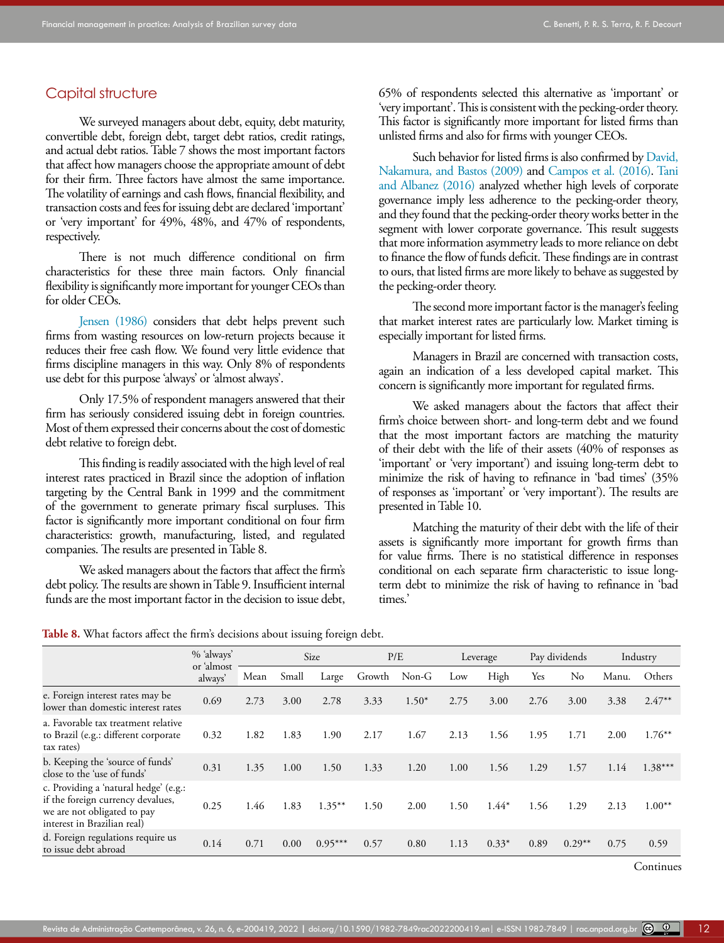### Capital structure

We surveyed managers about debt, equity, debt maturity, convertible debt, foreign debt, target debt ratios, credit ratings, and actual debt ratios. Table 7 shows the most important factors that affect how managers choose the appropriate amount of debt for their firm. Three factors have almost the same importance. The volatility of earnings and cash flows, financial flexibility, and transaction costs and fees for issuing debt are declared 'important' or 'very important' for 49%, 48%, and 47% of respondents, respectively.

There is not much difference conditional on firm characteristics for these three main factors. Only financial flexibility is significantly more important for younger CEOs than for older CEOs.

[Jensen \(1986\)](#page-16-16) considers that debt helps prevent such firms from wasting resources on low-return projects because it reduces their free cash flow. We found very little evidence that firms discipline managers in this way. Only 8% of respondents use debt for this purpose 'always' or 'almost always'.

Only 17.5% of respondent managers answered that their firm has seriously considered issuing debt in foreign countries. Most of them expressed their concerns about the cost of domestic debt relative to foreign debt.

This finding is readily associated with the high level of real interest rates practiced in Brazil since the adoption of inflation targeting by the Central Bank in 1999 and the commitment of the government to generate primary fiscal surpluses. This factor is significantly more important conditional on four firm characteristics: growth, manufacturing, listed, and regulated companies. The results are presented in Table 8.

We asked managers about the factors that affect the firm's debt policy. The results are shown in Table 9. Insufficient internal funds are the most important factor in the decision to issue debt,

65% of respondents selected this alternative as 'important' or 'very important'. This is consistent with the pecking-order theory. This factor is significantly more important for listed firms than unlisted firms and also for firms with younger CEOs.

Such behavior for listed firms is also confirmed by [David,](#page-15-18) [Nakamura, and Bastos \(2009\)](#page-15-18) and [Campos et al. \(2016\).](#page-15-17) [Tani](#page-16-17) [and Albanez \(2016\)](#page-16-17) analyzed whether high levels of corporate governance imply less adherence to the pecking-order theory, and they found that the pecking-order theory works better in the segment with lower corporate governance. This result suggests that more information asymmetry leads to more reliance on debt to finance the flow of funds deficit. These findings are in contrast to ours, that listed firms are more likely to behave as suggested by the pecking-order theory.

The second more important factor is the manager's feeling that market interest rates are particularly low. Market timing is especially important for listed firms.

Managers in Brazil are concerned with transaction costs, again an indication of a less developed capital market. This concern is significantly more important for regulated firms.

We asked managers about the factors that affect their firm's choice between short- and long-term debt and we found that the most important factors are matching the maturity of their debt with the life of their assets (40% of responses as 'important' or 'very important') and issuing long-term debt to minimize the risk of having to refinance in 'bad times' (35% of responses as 'important' or 'very important'). The results are presented in Table 10.

Matching the maturity of their debt with the life of their assets is significantly more important for growth firms than for value firms. There is no statistical difference in responses conditional on each separate firm characteristic to issue longterm debt to minimize the risk of having to refinance in 'bad times.'

| Table 8. What factors affect the firm's decisions about issuing foreign debt. |  |  |  |  |  |  |  |  |  |  |  |
|-------------------------------------------------------------------------------|--|--|--|--|--|--|--|--|--|--|--|
|-------------------------------------------------------------------------------|--|--|--|--|--|--|--|--|--|--|--|

| % 'always'<br>or 'almost<br>always' | Size                                                                         |       |           |        | P/E     |      | Leverage |      | Pay dividends  |       | Industry  |
|-------------------------------------|------------------------------------------------------------------------------|-------|-----------|--------|---------|------|----------|------|----------------|-------|-----------|
|                                     | Mean                                                                         | Small | Large     | Growth | $Non-G$ | Low  | High     | Yes  | N <sub>0</sub> | Manu. | Others    |
| 0.69                                | 2.73                                                                         | 3.00  | 2.78      | 3.33   | $1.50*$ | 2.75 | 3.00     | 2.76 | 3.00           | 3.38  | $2.47**$  |
| 0.32                                | 1.82                                                                         | 1.83  | 1.90      | 2.17   | 1.67    | 2.13 | 1.56     | 1.95 | 1.71           | 2.00  | $1.76***$ |
| 0.31                                | 1.35                                                                         | 1.00  | 1.50      | 1.33   | 1.20    | 1.00 | 1.56     | 1.29 | 1.57           | 1.14  | $1.38***$ |
| 0.25                                | 1.46                                                                         | 1.83  | $1.35***$ | 1.50   | 2.00    | 1.50 | $1.44*$  | 1.56 | 1.29           | 2.13  | $1.00**$  |
| 0.14                                | 0.71                                                                         | 0.00  | $0.95***$ | 0.57   | 0.80    | 1.13 | $0.33*$  | 0.89 | $0.29**$       | 0.75  | 0.59      |
|                                     | a. Favorable tax treatment relative<br>c. Providing a 'natural hedge' (e.g.: |       |           |        |         |      |          |      |                |       |           |

Continues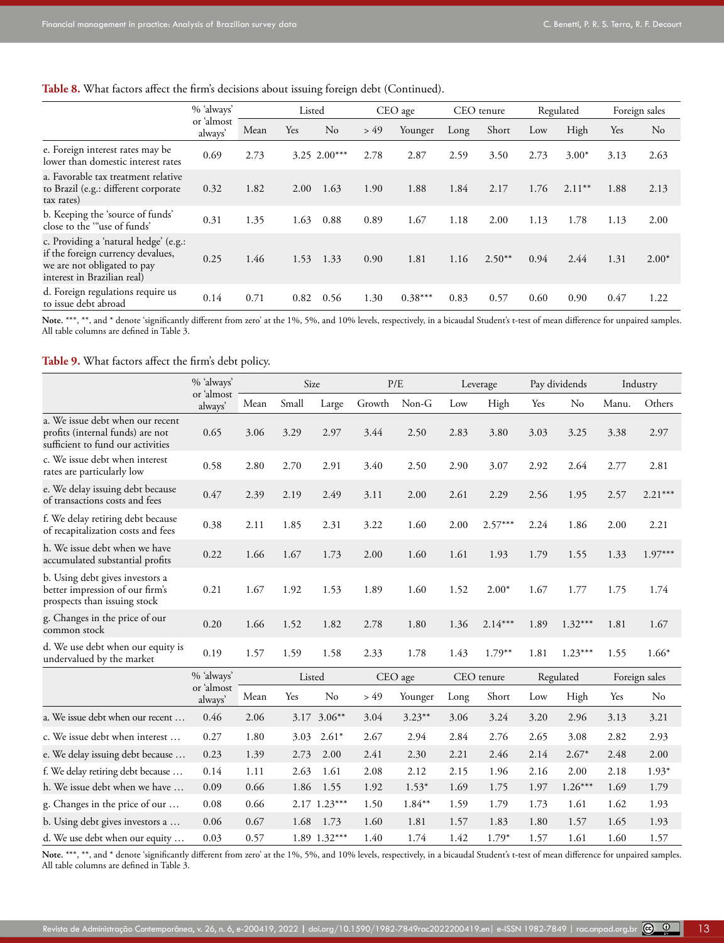#### **Table 8.** What factors affect the firm's decisions about issuing foreign debt (Continued).

|                                                                                                                                          | % 'always'<br>or 'almost<br>always' | Listed |            | CEO age        |      | CEO tenure |      | Regulated |      | Foreign sales |      |          |
|------------------------------------------------------------------------------------------------------------------------------------------|-------------------------------------|--------|------------|----------------|------|------------|------|-----------|------|---------------|------|----------|
|                                                                                                                                          |                                     | Mean   | <b>Yes</b> | No             | > 49 | Younger    | Long | Short     | Low  | High          | Yes  | $\rm No$ |
| e. Foreign interest rates may be<br>lower than domestic interest rates                                                                   | 0.69                                | 2.73   |            | $3.25$ 2.00*** | 2.78 | 2.87       | 2.59 | 3.50      | 2.73 | $3.00*$       | 3.13 | 2.63     |
| a. Favorable tax treatment relative<br>to Brazil (e.g.: different corporate<br>tax rates)                                                | 0.32                                | 1.82   | 2.00       | 1.63           | 1.90 | 1.88       | 1.84 | 2.17      | 1.76 | $2.11***$     | 1.88 | 2.13     |
| b. Keeping the 'source of funds'<br>close to the "use of funds'                                                                          | 0.31                                | 1.35   | 1.63       | 0.88           | 0.89 | 1.67       | 1.18 | 2.00      | 1.13 | 1.78          | 1.13 | 2.00     |
| c. Providing a 'natural hedge' (e.g.:<br>if the foreign currency devalues,<br>we are not obligated to pay<br>interest in Brazilian real) | 0.25                                | 1.46   | 1.53       | 1.33           | 0.90 | 1.81       | 1.16 | $2.50**$  | 0.94 | 2.44          | 1.31 | $2.00*$  |
| d. Foreign regulations require us<br>to issue debt abroad                                                                                | 0.14                                | 0.71   | 0.82       | 0.56           | 1.30 | $0.38***$  | 0.83 | 0.57      | 0.60 | 0.90          | 0.47 | 1.22     |

Note. \*\*\*, \*\*, and \* denote 'significantly different from zero' at the 1%, 5%, and 10% levels, respectively, in a bicaudal Student's t-test of mean difference for unpaired samples. All table columns are defined in Table 3.

**Table 9.** What factors affect the firm's debt policy.

|                                                                                                           | % 'always'            | Size   |       |              | P/E    |            | Leverage |           | Pay dividends |               | Industry |                |
|-----------------------------------------------------------------------------------------------------------|-----------------------|--------|-------|--------------|--------|------------|----------|-----------|---------------|---------------|----------|----------------|
|                                                                                                           | or 'almost<br>always' | Mean   | Small | Large        | Growth | Non-G      | Low      | High      | Yes           | No            | Manu.    | Others         |
| a. We issue debt when our recent<br>profits (internal funds) are not<br>sufficient to fund our activities | 0.65                  | 3.06   | 3.29  | 2.97         | 3.44   | 2.50       | 2.83     | 3.80      | 3.03          | 3.25          | 3.38     | 2.97           |
| c. We issue debt when interest<br>rates are particularly low                                              | 0.58                  | 2.80   | 2.70  | 2.91         | 3.40   | 2.50       | 2.90     | 3.07      | 2.92          | 2.64          | 2.77     | 2.81           |
| e. We delay issuing debt because<br>of transactions costs and fees                                        | 0.47                  | 2.39   | 2.19  | 2.49         | 3.11   | 2.00       | 2.61     | 2.29      | 2.56          | 1.95          | 2.57     | $2.21***$      |
| f. We delay retiring debt because<br>of recapitalization costs and fees                                   | 0.38                  | 2.11   | 1.85  | 2.31         | 3.22   | 1.60       | 2.00     | $2.57***$ | 2.24          | 1.86          | 2.00     | 2.21           |
| h. We issue debt when we have<br>accumulated substantial profits                                          | 0.22                  | 1.66   | 1.67  | 1.73         | 2.00   | 1.60       | 1.61     | 1.93      | 1.79          | 1.55          | 1.33     | $1.97***$      |
| b. Using debt gives investors a<br>better impression of our firm's<br>prospects than issuing stock        | 0.21                  | 1.67   | 1.92  | 1.53         | 1.89   | 1.60       | 1.52     | $2.00*$   | 1.67          | 1.77          | 1.75     | 1.74           |
| g. Changes in the price of our<br>common stock                                                            | 0.20                  | 1.66   | 1.52  | 1.82         | 2.78   | 1.80       | 1.36     | $2.14***$ | 1.89          | $1.32***$     | 1.81     | 1.67           |
| d. We use debt when our equity is<br>undervalued by the market                                            | 0.19                  | 1.57   | 1.59  | 1.58         | 2.33   | 1.78       | 1.43     | $1.79**$  | 1.81          | $1.23***$     | 1.55     | $1.66*$        |
|                                                                                                           | % 'always'            | Listed |       | CEO age      |        | CEO tenure |          | Regulated |               | Foreign sales |          |                |
|                                                                                                           | or 'almost<br>always' | Mean   | Yes   | No           | > 49   | Younger    | Long     | Short     | Low           | High          | Yes      | N <sub>o</sub> |
| a. We issue debt when our recent                                                                          | 0.46                  | 2.06   |       | 3.17 3.06**  | 3.04   | $3.23***$  | 3.06     | 3.24      | 3.20          | 2.96          | 3.13     | 3.21           |
| c. We issue debt when interest                                                                            | 0.27                  | 1.80   | 3.03  | $2.61*$      | 2.67   | 2.94       | 2.84     | 2.76      | 2.65          | 3.08          | 2.82     | 2.93           |
| e. We delay issuing debt because                                                                          | 0.23                  | 1.39   | 2.73  | 2.00         | 2.41   | 2.30       | 2.21     | 2.46      | 2.14          | $2.67*$       | 2.48     | 2.00           |
| f. We delay retiring debt because                                                                         | 0.14                  | 1.11   | 2.63  | 1.61         | 2.08   | 2.12       | 2.15     | 1.96      | 2.16          | 2.00          | 2.18     | $1.93*$        |
| h. We issue debt when we have                                                                             | 0.09                  | 0.66   | 1.86  | 1.55         | 1.92   | $1.53*$    | 1.69     | 1.75      | 1.97          | $1.26***$     | 1.69     | 1.79           |
| g. Changes in the price of our                                                                            | 0.08                  | 0.66   |       | 2.17 1.23*** | 1.50   | $1.84***$  | 1.59     | 1.79      | 1.73          | 1.61          | 1.62     | 1.93           |
| b. Using debt gives investors a                                                                           | 0.06                  | 0.67   | 1.68  | 1.73         | 1.60   | 1.81       | 1.57     | 1.83      | 1.80          | 1.57          | 1.65     | 1.93           |
| d. We use debt when our equity                                                                            | 0.03                  | 0.57   |       | 1.89 1.32*** | 1.40   | 1.74       | 1.42     | $1.79*$   | 1.57          | 1.61          | 1.60     | 1.57           |

Note. \*\*\*, \*\*, and \* denote 'significantly different from zero' at the 1%, 5%, and 10% levels, respectively, in a bicaudal Student's t-test of mean difference for unpaired samples. All table columns are defined in Table 3.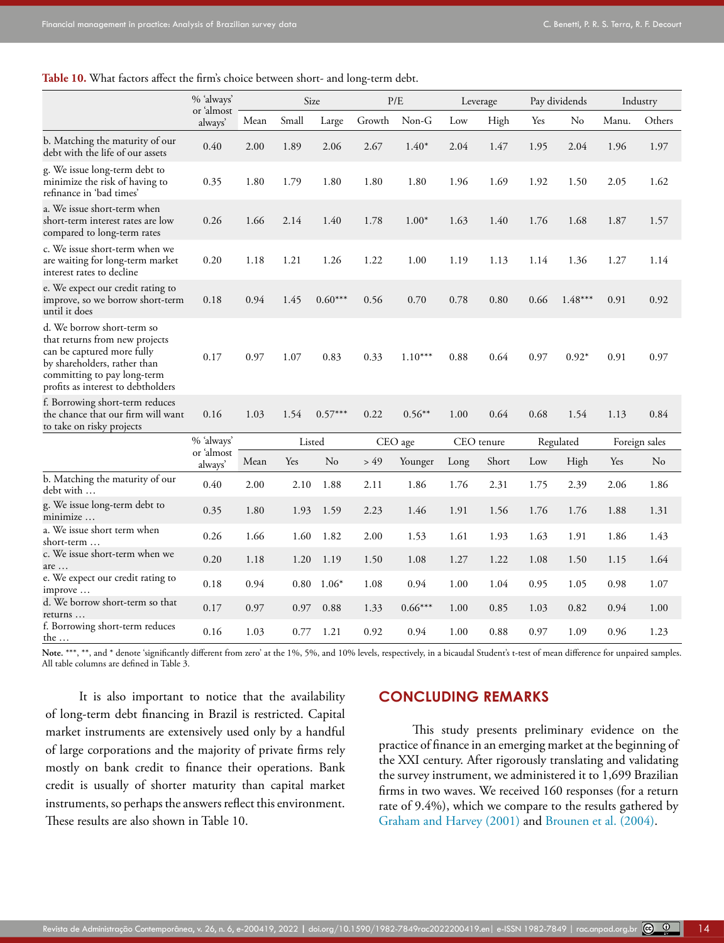**Table 10.** What factors affect the firm's choice between short- and long-term debt.

|                                                                                                                                                                                                 | % 'always'               | Size |        |           | P/E     |           | Leverage   |       | Pay dividends |           | Industry      |          |
|-------------------------------------------------------------------------------------------------------------------------------------------------------------------------------------------------|--------------------------|------|--------|-----------|---------|-----------|------------|-------|---------------|-----------|---------------|----------|
|                                                                                                                                                                                                 | or 'almost<br>always'    | Mean | Small  | Large     | Growth  | $Non-G$   | Low        | High  | Yes           | No        | Manu.         | Others   |
| b. Matching the maturity of our<br>debt with the life of our assets                                                                                                                             | 0.40                     | 2.00 | 1.89   | 2.06      | 2.67    | $1.40*$   | 2.04       | 1.47  | 1.95          | 2.04      | 1.96          | 1.97     |
| g. We issue long-term debt to<br>minimize the risk of having to<br>refinance in 'bad times'                                                                                                     | 0.35                     | 1.80 | 1.79   | 1.80      | 1.80    | 1.80      | 1.96       | 1.69  | 1.92          | 1.50      | 2.05          | 1.62     |
| a. We issue short-term when<br>short-term interest rates are low<br>compared to long-term rates                                                                                                 | 0.26                     | 1.66 | 2.14   | 1.40      | 1.78    | $1.00*$   | 1.63       | 1.40  | 1.76          | 1.68      | 1.87          | 1.57     |
| c. We issue short-term when we<br>are waiting for long-term market<br>interest rates to decline                                                                                                 | 0.20                     | 1.18 | 1.21   | 1.26      | 1.22    | 1.00      | 1.19       | 1.13  | 1.14          | 1.36      | 1.27          | 1.14     |
| e. We expect our credit rating to<br>improve, so we borrow short-term<br>until it does                                                                                                          | 0.18                     | 0.94 | 1.45   | $0.60***$ | 0.56    | 0.70      | 0.78       | 0.80  | 0.66          | $1.48***$ | 0.91          | 0.92     |
| d. We borrow short-term so<br>that returns from new projects<br>can be captured more fully<br>by shareholders, rather than<br>committing to pay long-term<br>profits as interest to debtholders | 0.17                     | 0.97 | 1.07   | 0.83      | 0.33    | $1.10***$ | 0.88       | 0.64  | 0.97          | $0.92*$   | 0.91          | 0.97     |
| f. Borrowing short-term reduces<br>the chance that our firm will want<br>to take on risky projects                                                                                              | 0.16                     | 1.03 | 1.54   | $0.57***$ | 0.22    | $0.56**$  | 1.00       | 0.64  | 0.68          | 1.54      | 1.13          | 0.84     |
|                                                                                                                                                                                                 | % 'always'<br>or 'almost |      | Listed |           | CEO age |           | CEO tenure |       | Regulated     |           | Foreign sales |          |
|                                                                                                                                                                                                 | always'                  | Mean | Yes    | No        | > 49    | Younger   | Long       | Short | Low           | High      | Yes           | $\rm No$ |
| b. Matching the maturity of our<br>debt with                                                                                                                                                    | 0.40                     | 2.00 | 2.10   | 1.88      | 2.11    | 1.86      | 1.76       | 2.31  | 1.75          | 2.39      | 2.06          | 1.86     |
| g. We issue long-term debt to<br>minimize                                                                                                                                                       | 0.35                     | 1.80 | 1.93   | 1.59      | 2.23    | 1.46      | 1.91       | 1.56  | 1.76          | 1.76      | 1.88          | 1.31     |
| a. We issue short term when<br>short-term                                                                                                                                                       | 0.26                     | 1.66 | 1.60   | 1.82      | 2.00    | 1.53      | 1.61       | 1.93  | 1.63          | 1.91      | 1.86          | 1.43     |
| c. We issue short-term when we<br>are                                                                                                                                                           | 0.20                     | 1.18 | 1.20   | 1.19      | 1.50    | 1.08      | 1.27       | 1.22  | 1.08          | 1.50      | 1.15          | 1.64     |
| e. We expect our credit rating to<br>improve                                                                                                                                                    | 0.18                     | 0.94 | 0.80   | $1.06*$   | 1.08    | 0.94      | 1.00       | 1.04  | 0.95          | 1.05      | 0.98          | 1.07     |
| d. We borrow short-term so that<br>returns                                                                                                                                                      | 0.17                     | 0.97 | 0.97   | 0.88      | 1.33    | $0.66***$ | 1.00       | 0.85  | 1.03          | 0.82      | 0.94          | 1.00     |
| f. Borrowing short-term reduces<br><u>the </u>                                                                                                                                                  | 0.16                     | 1.03 | 0.77   | 1.21      | 0.92    | 0.94      | 1.00       | 0.88  | 0.97          | 1.09      | 0.96          | 1.23     |

Note. \*\*\*, \*\*, and \* denote 'significantly different from zero' at the 1%, 5%, and 10% levels, respectively, in a bicaudal Student's t-test of mean difference for unpaired samples. All table columns are defined in Table 3.

It is also important to notice that the availability of long-term debt financing in Brazil is restricted. Capital market instruments are extensively used only by a handful of large corporations and the majority of private firms rely mostly on bank credit to finance their operations. Bank credit is usually of shorter maturity than capital market instruments, so perhaps the answers reflect this environment. These results are also shown in Table 10.

# **CONCLUDING REMARKS**

This study presents preliminary evidence on the practice of finance in an emerging market at the beginning of the XXI century. After rigorously translating and validating the survey instrument, we administered it to 1,699 Brazilian firms in two waves. We received 160 responses (for a return rate of 9.4%), which we compare to the results gathered by [Graham and Harvey \(2001\)](#page-16-6) and [Brounen et al. \(2004\)](#page-15-0).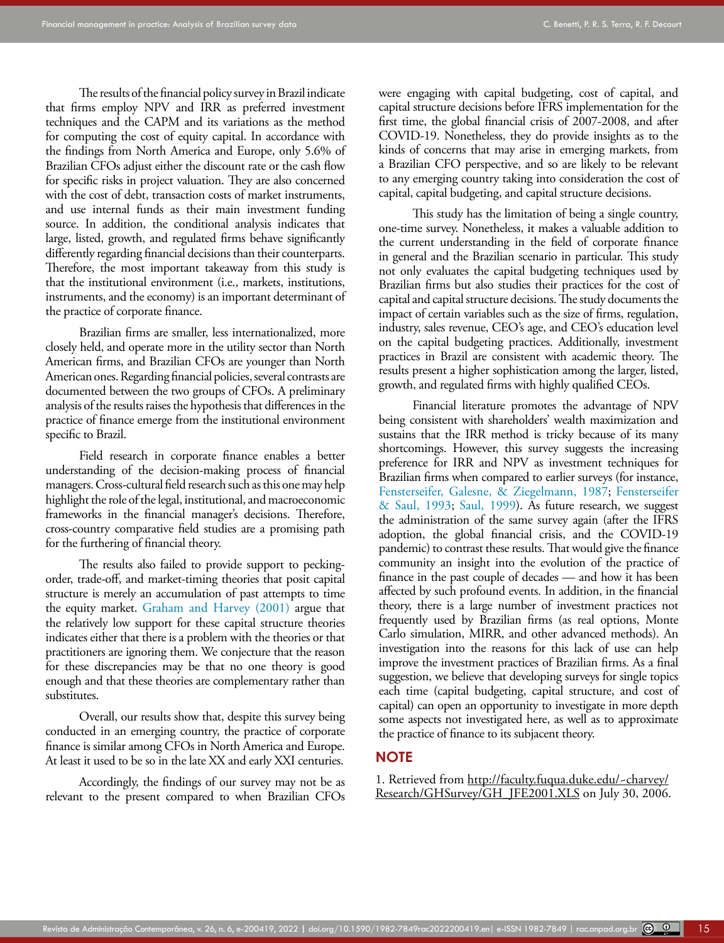The results of the financial policy survey in Brazil indicate that firms employ NPV and IRR as preferred investment techniques and the CAPM and its variations as the method for computing the cost of equity capital. In accordance with the findings from North America and Europe, only 5.6% of Brazilian CFOs adjust either the discount rate or the cash flow for specific risks in project valuation. They are also concerned with the cost of debt, transaction costs of market instruments, and use internal funds as their main investment funding source. In addition, the conditional analysis indicates that large, listed, growth, and regulated firms behave significantly differently regarding financial decisions than their counterparts. Therefore, the most important takeaway from this study is that the institutional environment (i.e., markets, institutions, instruments, and the economy) is an important determinant of the practice of corporate finance.

Brazilian firms are smaller, less internationalized, more closely held, and operate more in the utility sector than North American firms, and Brazilian CFOs are younger than North American ones. Regarding financial policies, several contrasts are documented between the two groups of CFOs. A preliminary analysis of the results raises the hypothesis that differences in the practice of finance emerge from the institutional environment specific to Brazil.

Field research in corporate finance enables a better understanding of the decision-making process of financial managers. Cross-cultural field research such as this one may help highlight the role of the legal, institutional, and macroeconomic frameworks in the financial manager's decisions. Therefore, cross-country comparative field studies are a promising path for the furthering of financial theory.

The results also failed to provide support to peckingorder, trade-off, and market-timing theories that posit capital structure is merely an accumulation of past attempts to time the equity market. [Graham and Harvey \(2001\)](#page-16-6) argue that the relatively low support for these capital structure theories indicates either that there is a problem with the theories or that practitioners are ignoring them. We conjecture that the reason for these discrepancies may be that no one theory is good enough and that these theories are complementary rather than substitutes.

Overall, our results show that, despite this survey being conducted in an emerging country, the practice of corporate finance is similar among CFOs in North America and Europe. At least it used to be so in the late XX and early XXI centuries.

Accordingly, the findings of our survey may not be as relevant to the present compared to when Brazilian CFOs were engaging with capital budgeting, cost of capital, and capital structure decisions before IFRS implementation for the first time, the global financial crisis of 2007-2008, and after COVID-19. Nonetheless, they do provide insights as to the kinds of concerns that may arise in emerging markets, from a Brazilian CFO perspective, and so are likely to be relevant to any emerging country taking into consideration the cost of capital, capital budgeting, and capital structure decisions.

This study has the limitation of being a single country, one-time survey. Nonetheless, it makes a valuable addition to the current understanding in the field of corporate finance in general and the Brazilian scenario in particular. This study not only evaluates the capital budgeting techniques used by Brazilian firms but also studies their practices for the cost of capital and capital structure decisions. The study documents the impact of certain variables such as the size of firms, regulation, industry, sales revenue, CEO's age, and CEO's education level on the capital budgeting practices. Additionally, investment practices in Brazil are consistent with academic theory. The results present a higher sophistication among the larger, listed, growth, and regulated firms with highly qualified CEOs.

Financial literature promotes the advantage of NPV being consistent with shareholders' wealth maximization and sustains that the IRR method is tricky because of its many shortcomings. However, this survey suggests the increasing preference for IRR and NPV as investment techniques for Brazilian firms when compared to earlier surveys (for instance, [Fensterseifer, Galesne, & Ziegelmann, 1987;](#page-15-12) [Fensterseifer](#page-15-13) [& Saul, 1993;](#page-15-13) [Saul, 1999](#page-16-13)). As future research, we suggest the administration of the same survey again (after the IFRS adoption, the global financial crisis, and the COVID-19 pandemic) to contrast these results. That would give the finance community an insight into the evolution of the practice of finance in the past couple of decades — and how it has been affected by such profound events. In addition, in the financial theory, there is a large number of investment practices not frequently used by Brazilian firms (as real options, Monte Carlo simulation, MIRR, and other advanced methods). An investigation into the reasons for this lack of use can help improve the investment practices of Brazilian firms. As a final suggestion, we believe that developing surveys for single topics each time (capital budgeting, capital structure, and cost of capital) can open an opportunity to investigate in more depth some aspects not investigated here, as well as to approximate the practice of finance to its subjacent theory.

#### **NOTE**

1. Retrieved from [http://faculty.fuqua.duke.edu/~charvey/](http://faculty.fuqua.duke.edu/~charvey/Research/GHSurvey/GH_JFE2001.XLS) [Research/GHSurvey/GH\\_JFE2001.XLS](http://faculty.fuqua.duke.edu/~charvey/Research/GHSurvey/GH_JFE2001.XLS) on July 30, 2006.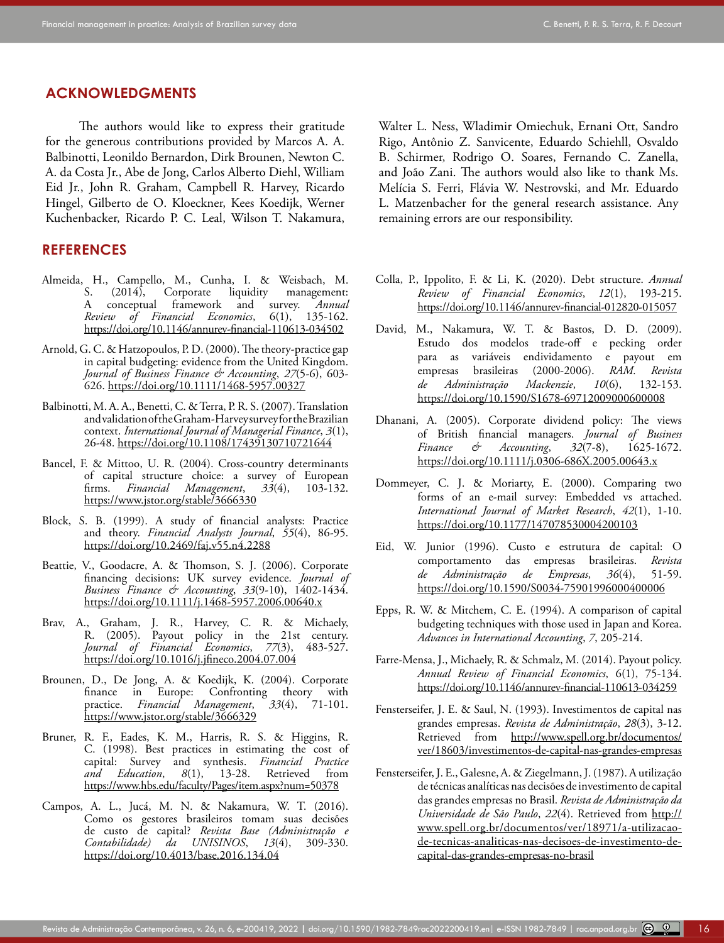#### **ACKNOWLEDGMENTS**

The authors would like to express their gratitude for the generous contributions provided by Marcos A. A. Balbinotti, Leonildo Bernardon, Dirk Brounen, Newton C. A. da Costa Jr., Abe de Jong, Carlos Alberto Diehl, William Eid Jr., John R. Graham, Campbell R. Harvey, Ricardo Hingel, Gilberto de O. Kloeckner, Kees Koedijk, Werner Kuchenbacker, Ricardo P. C. Leal, Wilson T. Nakamura,

#### **REFERENCES**

- <span id="page-15-2"></span>Almeida, H., Campello, M., Cunha, I. & Weisbach, M.  $(2014)$ , Corporate liquidity management:<br>conceptual framework and survey. Annual A conceptual framework and survey. *Review of Financial Economics*, 6(1), 135-162. <https://doi.org/10.1146/annurev-financial-110613-034502>
- <span id="page-15-8"></span>Arnold, G. C. & Hatzopoulos, P. D. (2000). The theory-practice gap in capital budgeting: evidence from the United Kingdom. *Journal of Business Finance & Accounting*, *27*(5‐6), 603- 626. <https://doi.org/10.1111/1468-5957.00327>
- <span id="page-15-15"></span>Balbinotti, M. A. A., Benetti, C. & Terra, P. R. S. (2007). Translation and validation of the Graham-Harvey survey for the Brazilian context. *International Journal of Managerial Finance*, *3*(1), 26-48.<https://doi.org/10.1108/17439130710721644>
- <span id="page-15-11"></span>Bancel, F. & Mittoo, U. R. (2004). Cross-country determinants of capital structure choice: a survey of European firms. *Financial Management*, *33*(4), 103-132. <https://www.jstor.org/stable/3666330>
- <span id="page-15-4"></span>Block, S. B. (1999). A study of financial analysts: Practice and theory. *Financial Analysts Journal*, *55*(4), 86-95. <https://doi.org/10.2469/faj.v55.n4.2288>
- <span id="page-15-9"></span>Beattie, V., Goodacre, A. & Thomson, S. J. (2006). Corporate financing decisions: UK survey evidence. *Journal of Business Finance & Accounting*, *33*(9‐10), 1402-1434. <https://doi.org/10.1111/j.1468-5957.2006.00640.x>
- <span id="page-15-5"></span>Brav, A., Graham, J. R., Harvey, C. R. & Michaely, R. (2005). Payout policy in the 21st century. *Journal of Financial Economics*, *77*(3), 483-527. <https://doi.org/10.1016/j.jfineco.2004.07.004>
- <span id="page-15-0"></span>Brounen, D., De Jong, A. & Koedijk, K. (2004). Corporate finance in Europe: Confronting theory with practice. *Financial Management*, *33*(4), 71-101. <https://www.jstor.org/stable/3666329>
- <span id="page-15-6"></span>Bruner, R. F., Eades, K. M., Harris, R. S. & Higgins, R. C. (1998). Best practices in estimating the cost of capital: Survey and synthesis. *Financial Practice*  13-28. Retrieved from <https://www.hbs.edu/faculty/Pages/item.aspx?num=50378>
- <span id="page-15-17"></span>Campos, A. L., Jucá, M. N. & Nakamura, W. T. (2016). Como os gestores brasileiros tomam suas decisões de custo de capital? *Revista Base (Administração e Contabilidade) da UNISINOS*, *13*(4), 309-330. https://doi.org/10.4013/base.2016.134.04

Walter L. Ness, Wladimir Omiechuk, Ernani Ott, Sandro Rigo, Antônio Z. Sanvicente, Eduardo Schiehll, Osvaldo B. Schirmer, Rodrigo O. Soares, Fernando C. Zanella, and João Zani. The authors would also like to thank Ms. Melícia S. Ferri, Flávia W. Nestrovski, and Mr. Eduardo L. Matzenbacher for the general research assistance. Any remaining errors are our responsibility.

- <span id="page-15-1"></span>Colla, P., Ippolito, F. & Li, K. (2020). Debt structure. *Annual Review of Financial Economics*, *12*(1), 193-215. <https://doi.org/10.1146/annurev-financial-012820-015057>
- <span id="page-15-18"></span>David, M., Nakamura, W. T. & Bastos, D. D. (2009). Estudo dos modelos trade-off e pecking order para as variáveis endividamento e payout em empresas brasileiras (2000-2006). *RAM. Revista de Administração Mackenzie*, *10*(6), 132-153. <https://doi.org/10.1590/S1678-69712009000600008>
- <span id="page-15-10"></span>Dhanani, A. (2005). Corporate dividend policy: The views of British financial managers. *Journal of Business Finance & Accounting*, *32*(7‐8), 1625-1672. <https://doi.org/10.1111/j.0306-686X.2005.00643.x>
- <span id="page-15-16"></span>Dommeyer, C. J. & Moriarty, E. (2000). Comparing two forms of an e-mail survey: Embedded vs attached. *International Journal of Market Research*, *42*(1), 1-10. <https://doi.org/10.1177/147078530004200103>
- <span id="page-15-14"></span>Eid, W. Junior (1996). Custo e estrutura de capital: O comportamento das empresas brasileiras. *Revista de Administração de Empresas*, *36*(4), 51-59. <https://doi.org/10.1590/S0034-75901996000400006>
- <span id="page-15-7"></span>Epps, R. W. & Mitchem, C. E. (1994). A comparison of capital budgeting techniques with those used in Japan and Korea. *Advances in International Accounting*, *7*, 205-214.
- <span id="page-15-3"></span>Farre-Mensa, J., Michaely, R. & Schmalz, M. (2014). Payout policy. *Annual Review of Financial Economics*, 6(1), 75-134. <https://doi.org/10.1146/annurev-financial-110613-034259>
- <span id="page-15-13"></span>Fensterseifer, J. E. & Saul, N. (1993). Investimentos de capital nas grandes empresas. *Revista de Administração*, *28*(3), 3-12. Retrieved from [http://www.spell.org.br/documentos/](http://www.spell.org.br/documentos/ver/18603/investimentos-de-capital-nas-grandes-empresas) [ver/18603/investimentos-de-capital-nas-grandes-empresas](http://www.spell.org.br/documentos/ver/18603/investimentos-de-capital-nas-grandes-empresas)
- <span id="page-15-12"></span>Fensterseifer, J. E., Galesne, A. & Ziegelmann, J. (1987). A utilização de técnicas analíticas nas decisões de investimento de capital das grandes empresas no Brasil. *Revista de Administração da Universidade de São Paulo*, *22*(4). Retrieved from [http://](http://www.spell.org.br/documentos/ver/18971/a-utilizacao-de-tecnicas-analiticas-nas-decisoes-de-investimento-de-capital-das-grandes-empresas-no-brasil) [www.spell.org.br/documentos/ver/18971/a-utilizacao](http://www.spell.org.br/documentos/ver/18971/a-utilizacao-de-tecnicas-analiticas-nas-decisoes-de-investimento-de-capital-das-grandes-empresas-no-brasil)[de-tecnicas-analiticas-nas-decisoes-de-investimento-de](http://www.spell.org.br/documentos/ver/18971/a-utilizacao-de-tecnicas-analiticas-nas-decisoes-de-investimento-de-capital-das-grandes-empresas-no-brasil)[capital-das-grandes-empresas-no-brasil](http://www.spell.org.br/documentos/ver/18971/a-utilizacao-de-tecnicas-analiticas-nas-decisoes-de-investimento-de-capital-das-grandes-empresas-no-brasil)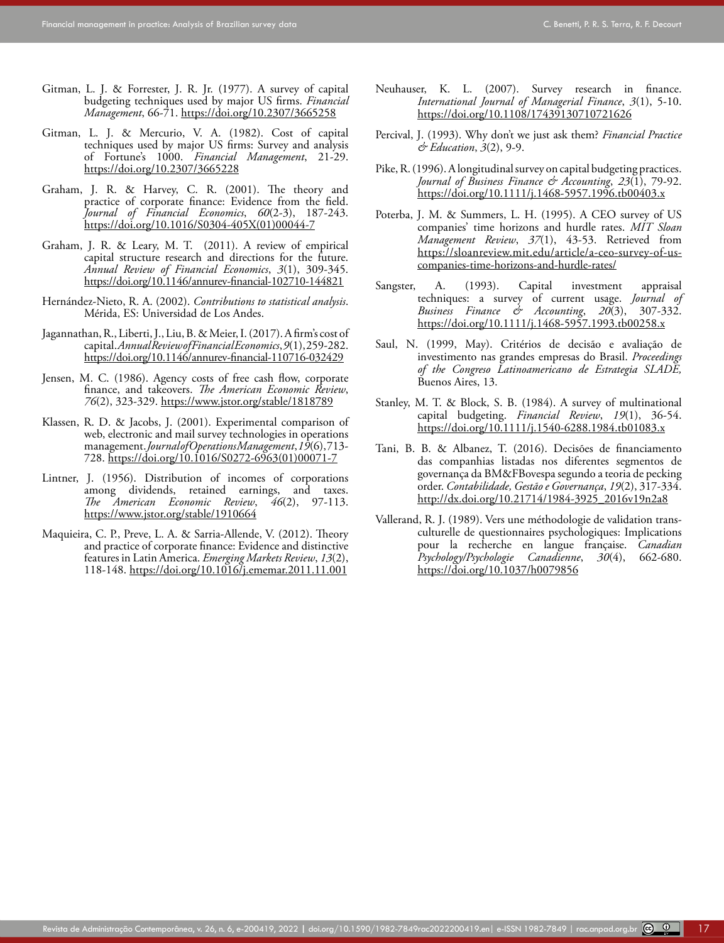- <span id="page-16-4"></span>Gitman, L. J. & Forrester, J. R. Jr. (1977). A survey of capital budgeting techniques used by major US firms. *Financial Management*, 66-71. <https://doi.org/10.2307/3665258>
- <span id="page-16-5"></span>Gitman, L. J. & Mercurio, V. A. (1982). Cost of capital techniques used by major US firms: Survey and analysis of Fortune's 1000. *Financial Management*, 21-29. <https://doi.org/10.2307/3665228>
- <span id="page-16-6"></span>Graham, J. R. & Harvey, C. R. (2001). The theory and practice of corporate finance: Evidence from the field. *Journal of Financial Economics*, *60*(2-3), 187-243. [https://doi.org/10.1016/S0304-405X\(01\)00044-7](https://doi.org/10.1016/S0304-405X(01)00044-7)
- <span id="page-16-3"></span>Graham, J. R. & Leary, M. T. (2011). A review of empirical capital structure research and directions for the future. *Annual Review of Financial Economics*, *3*(1), 309-345. <https://doi.org/10.1146/annurev-financial-102710-144821>
- Hernández-Nieto, R. A. (2002). *Contributions to statistical analysis*. Mérida, ES: Universidad de Los Andes.
- <span id="page-16-2"></span>Jagannathan, R., Liberti, J., Liu, B. & Meier, I. (2017). A firm's cost of capital. *Annual Review of Financial Economics*, *9*(1), 259-282. <https://doi.org/10.1146/annurev-financial-110716-032429>
- <span id="page-16-16"></span>Jensen, M. C. (1986). Agency costs of free cash flow, corporate finance, and takeovers. *The American Economic Review*, *76*(2), 323-329.<https://www.jstor.org/stable/1818789>
- <span id="page-16-15"></span>Klassen, R. D. & Jacobs, J. (2001). Experimental comparison of web, electronic and mail survey technologies in operations management. *Journal of Operations Management*, *19*(6), 713- 728. [https://doi.org/10.1016/S0272-6963\(01\)00071-7](https://doi.org/10.1016/S0272-6963(01)00071-7)
- <span id="page-16-7"></span>Lintner, J. (1956). Distribution of incomes of corporations among dividends, retained earnings, and taxes.<br>The American Economic Review, 46(2), 97-113.  $American Economic Review,$ <https://www.jstor.org/stable/1910664>
- <span id="page-16-12"></span>Maquieira, C. P., Preve, L. A. & Sarria-Allende, V. (2012). Theory and practice of corporate finance: Evidence and distinctive features in Latin America. *Emerging Markets Review*, *13*(2), 118-148.<https://doi.org/10.1016/j.ememar.2011.11.001>
- <span id="page-16-1"></span>Neuhauser, K. L. (2007). Survey research in finance. *International Journal of Managerial Finance*, *3*(1), 5-10. <https://doi.org/10.1108/17439130710721626>
- <span id="page-16-0"></span>Percival, J. (1993). Why don't we just ask them? *Financial Practice & Education*, *3*(2), 9-9.
- <span id="page-16-10"></span>Pike, R. (1996). A longitudinal survey on capital budgeting practices. *Journal of Business Finance & Accounting*, *23*(1), 79-92. <https://doi.org/10.1111/j.1468-5957.1996.tb00403.x>
- <span id="page-16-8"></span>Poterba, J. M. & Summers, L. H. (1995). A CEO survey of US companies' time horizons and hurdle rates. *MIT Sloan Management Review*, *37*(1), 43-53. Retrieved from [https://sloanreview.mit.edu/article/a-ceo-survey-of-us](https://sloanreview.mit.edu/article/a-ceo-survey-of-us-companies-time-horizons-and-hurdle-rates/)[companies-time-horizons-and-hurdle-rates/](https://sloanreview.mit.edu/article/a-ceo-survey-of-us-companies-time-horizons-and-hurdle-rates/)
- <span id="page-16-11"></span>Sangster, A. (1993). Capital investment appraisal techniques: a survey of current usage. *Journal of Business Finance & Accounting*, *20*(3), 307-332. <https://doi.org/10.1111/j.1468-5957.1993.tb00258.x>
- <span id="page-16-13"></span>Saul, N. (1999, May). Critérios de decisão e avaliação de investimento nas grandes empresas do Brasil. *Proceedings of the Congreso Latinoamericano de Estrategia SLADE,* Buenos Aires, 13.
- <span id="page-16-9"></span>Stanley, M. T. & Block, S. B. (1984). A survey of multinational capital budgeting. *Financial Review*, *19*(1), 36-54. <https://doi.org/10.1111/j.1540-6288.1984.tb01083.x>
- <span id="page-16-17"></span>Tani, B. B. & Albanez, T. (2016). Decisões de financiamento das companhias listadas nos diferentes segmentos de governança da BM&FBovespa segundo a teoria de pecking order. *Contabilidade, Gestão e Governança*, *19*(2), 317-334. [http://dx.doi.org/10.21714/1984-3925\\_2016v19n2a8](http://dx.doi.org/10.21714/1984-3925_2016v19n2a8)
- <span id="page-16-14"></span>Vallerand, R. J. (1989). Vers une méthodologie de validation transculturelle de questionnaires psychologiques: Implications pour la recherche en langue française. *Canadian Psychology/Psychologie Canadienne*, *30*(4), 662-680. [https://doi.org/10.1037/h0079856](https://psycnet.apa.org/doi/10.1037/h0079856)